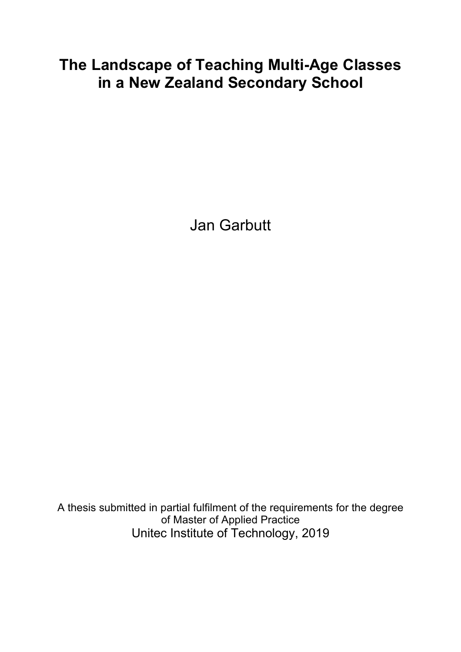# **The Landscape of Teaching Multi-Age Classes in a New Zealand Secondary School**

Jan Garbutt

A thesis submitted in partial fulfilment of the requirements for the degree of Master of Applied Practice Unitec Institute of Technology, 2019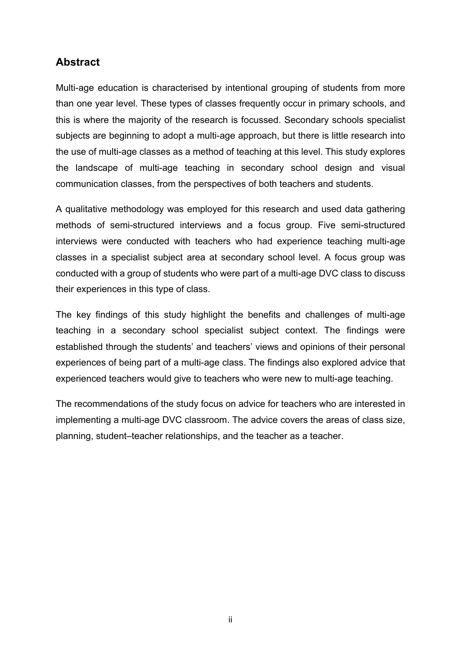## **Abstract**

Multi-age education is characterised by intentional grouping of students from more than one year level. These types of classes frequently occur in primary schools, and this is where the majority of the research is focussed. Secondary schools specialist subjects are beginning to adopt a multi-age approach, but there is little research into the use of multi-age classes as a method of teaching at this level. This study explores the landscape of multi-age teaching in secondary school design and visual communication classes, from the perspectives of both teachers and students.

A qualitative methodology was employed for this research and used data gathering methods of semi-structured interviews and a focus group. Five semi-structured interviews were conducted with teachers who had experience teaching multi-age classes in a specialist subject area at secondary school level. A focus group was conducted with a group of students who were part of a multi-age DVC class to discuss their experiences in this type of class.

The key findings of this study highlight the benefits and challenges of multi-age teaching in a secondary school specialist subject context. The findings were established through the students' and teachers' views and opinions of their personal experiences of being part of a multi-age class. The findings also explored advice that experienced teachers would give to teachers who were new to multi-age teaching.

The recommendations of the study focus on advice for teachers who are interested in implementing a multi-age DVC classroom. The advice covers the areas of class size, planning, student–teacher relationships, and the teacher as a teacher.

ii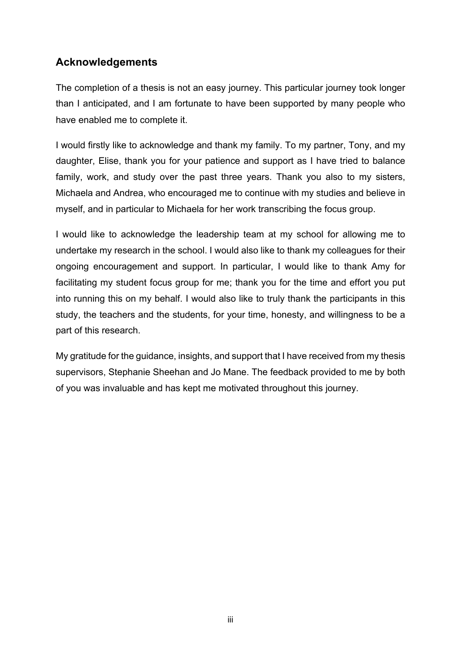## **Acknowledgements**

The completion of a thesis is not an easy journey. This particular journey took longer than I anticipated, and I am fortunate to have been supported by many people who have enabled me to complete it.

I would firstly like to acknowledge and thank my family. To my partner, Tony, and my daughter, Elise, thank you for your patience and support as I have tried to balance family, work, and study over the past three years. Thank you also to my sisters, Michaela and Andrea, who encouraged me to continue with my studies and believe in myself, and in particular to Michaela for her work transcribing the focus group.

I would like to acknowledge the leadership team at my school for allowing me to undertake my research in the school. I would also like to thank my colleagues for their ongoing encouragement and support. In particular, I would like to thank Amy for facilitating my student focus group for me; thank you for the time and effort you put into running this on my behalf. I would also like to truly thank the participants in this study, the teachers and the students, for your time, honesty, and willingness to be a part of this research.

My gratitude for the guidance, insights, and support that I have received from my thesis supervisors, Stephanie Sheehan and Jo Mane. The feedback provided to me by both of you was invaluable and has kept me motivated throughout this journey.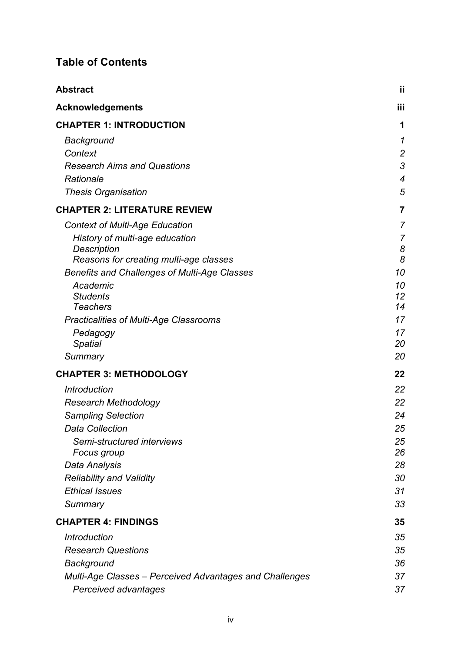## **Table of Contents**

| <b>Abstract</b>                                         | jj             |
|---------------------------------------------------------|----------------|
| <b>Acknowledgements</b>                                 | iii            |
| <b>CHAPTER 1: INTRODUCTION</b>                          | 1              |
| Background                                              | 1              |
| Context                                                 | $\overline{2}$ |
| <b>Research Aims and Questions</b>                      | 3              |
| Rationale                                               | $\overline{4}$ |
| <b>Thesis Organisation</b>                              | 5              |
| <b>CHAPTER 2: LITERATURE REVIEW</b>                     | 7              |
| <b>Context of Multi-Age Education</b>                   | $\overline{7}$ |
| History of multi-age education                          | 7              |
| Description                                             | 8              |
| Reasons for creating multi-age classes                  | 8              |
| <b>Benefits and Challenges of Multi-Age Classes</b>     | 10             |
| Academic<br><b>Students</b>                             | 10<br>12       |
| <b>Teachers</b>                                         | 14             |
| <b>Practicalities of Multi-Age Classrooms</b>           | 17             |
| Pedagogy                                                | 17             |
| <b>Spatial</b>                                          | 20             |
| Summary                                                 | 20             |
| <b>CHAPTER 3: METHODOLOGY</b>                           | 22             |
| <b>Introduction</b>                                     | 22             |
| <b>Research Methodology</b>                             | 22             |
| <b>Sampling Selection</b>                               | 24             |
| <b>Data Collection</b>                                  | 25             |
| Semi-structured interviews                              | 25             |
| Focus group                                             | 26             |
| Data Analysis                                           | 28             |
| <b>Reliability and Validity</b>                         | 30             |
| <b>Ethical Issues</b>                                   | 31             |
| Summary                                                 | 33             |
| <b>CHAPTER 4: FINDINGS</b>                              | 35             |
| <b>Introduction</b>                                     | 35             |
| <b>Research Questions</b>                               | 35             |
| Background                                              | 36             |
| Multi-Age Classes - Perceived Advantages and Challenges | 37             |
| Perceived advantages                                    | 37             |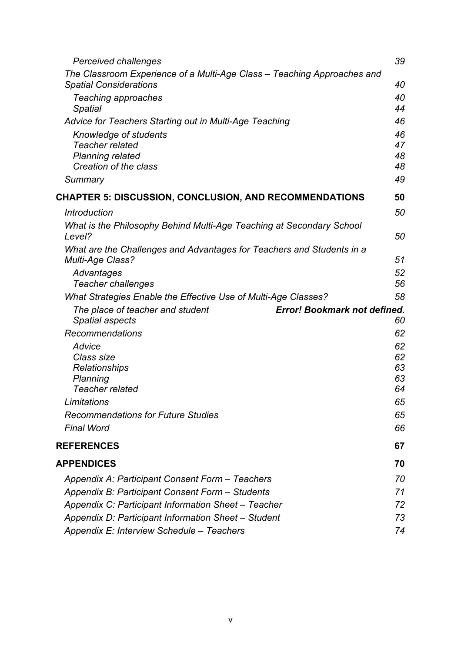| Perceived challenges                                                                      | 39       |
|-------------------------------------------------------------------------------------------|----------|
| The Classroom Experience of a Multi-Age Class – Teaching Approaches and                   |          |
| <b>Spatial Considerations</b>                                                             | 40       |
| Teaching approaches                                                                       | 40<br>44 |
| Spatial                                                                                   | 46       |
| Advice for Teachers Starting out in Multi-Age Teaching                                    | 46       |
| Knowledge of students<br><b>Teacher related</b>                                           | 47       |
| <b>Planning related</b>                                                                   | 48       |
| Creation of the class                                                                     | 48       |
| Summary                                                                                   | 49       |
| <b>CHAPTER 5: DISCUSSION, CONCLUSION, AND RECOMMENDATIONS</b>                             | 50       |
| <b>Introduction</b>                                                                       | 50       |
| What is the Philosophy Behind Multi-Age Teaching at Secondary School                      |          |
| Level?                                                                                    | 50       |
| What are the Challenges and Advantages for Teachers and Students in a<br>Multi-Age Class? | 51       |
| Advantages                                                                                | 52       |
| <b>Teacher challenges</b>                                                                 | 56       |
| What Strategies Enable the Effective Use of Multi-Age Classes?                            | 58       |
| <b>Error! Bookmark not defined.</b><br>The place of teacher and student                   |          |
| <b>Spatial aspects</b>                                                                    | 60       |
| Recommendations                                                                           | 62       |
| Advice                                                                                    | 62       |
| Class size                                                                                | 62       |
| Relationships<br>Planning                                                                 | 63<br>63 |
| <b>Teacher related</b>                                                                    | 64       |
| Limitations                                                                               | 65       |
| <b>Recommendations for Future Studies</b>                                                 | 65       |
| <b>Final Word</b>                                                                         | 66       |
| <b>REFERENCES</b>                                                                         | 67       |
| <b>APPENDICES</b>                                                                         | 70       |
| Appendix A: Participant Consent Form - Teachers                                           | 70       |
| Appendix B: Participant Consent Form - Students                                           | 71       |
| Appendix C: Participant Information Sheet – Teacher                                       | 72       |
| Appendix D: Participant Information Sheet - Student                                       | 73       |
| Appendix E: Interview Schedule - Teachers                                                 | 74       |
|                                                                                           |          |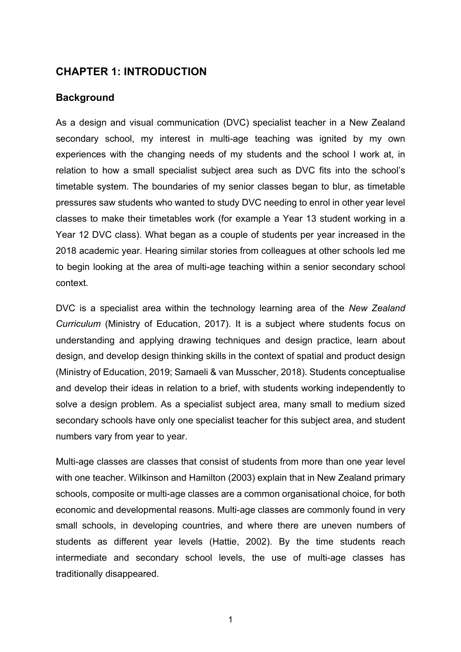## **CHAPTER 1: INTRODUCTION**

#### **Background**

As a design and visual communication (DVC) specialist teacher in a New Zealand secondary school, my interest in multi-age teaching was ignited by my own experiences with the changing needs of my students and the school I work at, in relation to how a small specialist subject area such as DVC fits into the school's timetable system. The boundaries of my senior classes began to blur, as timetable pressures saw students who wanted to study DVC needing to enrol in other year level classes to make their timetables work (for example a Year 13 student working in a Year 12 DVC class). What began as a couple of students per year increased in the 2018 academic year. Hearing similar stories from colleagues at other schools led me to begin looking at the area of multi-age teaching within a senior secondary school context.

DVC is a specialist area within the technology learning area of the *New Zealand Curriculum* (Ministry of Education, 2017). It is a subject where students focus on understanding and applying drawing techniques and design practice, learn about design, and develop design thinking skills in the context of spatial and product design (Ministry of Education, 2019; Samaeli & van Musscher, 2018). Students conceptualise and develop their ideas in relation to a brief, with students working independently to solve a design problem. As a specialist subject area, many small to medium sized secondary schools have only one specialist teacher for this subject area, and student numbers vary from year to year.

Multi-age classes are classes that consist of students from more than one year level with one teacher. Wilkinson and Hamilton (2003) explain that in New Zealand primary schools, composite or multi-age classes are a common organisational choice, for both economic and developmental reasons. Multi-age classes are commonly found in very small schools, in developing countries, and where there are uneven numbers of students as different year levels (Hattie, 2002). By the time students reach intermediate and secondary school levels, the use of multi-age classes has traditionally disappeared.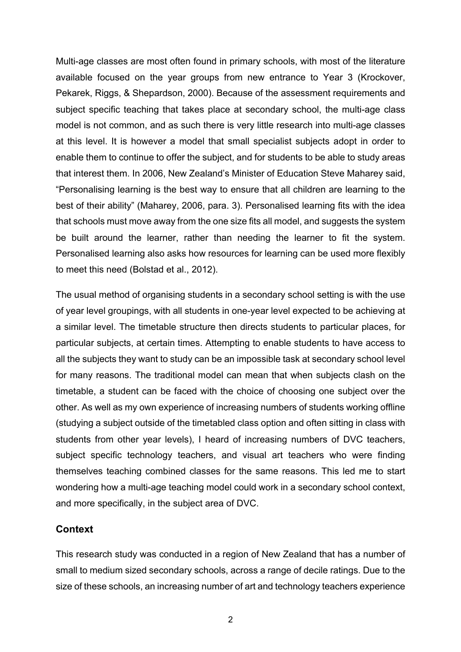Multi-age classes are most often found in primary schools, with most of the literature available focused on the year groups from new entrance to Year 3 (Krockover, Pekarek, Riggs, & Shepardson, 2000). Because of the assessment requirements and subject specific teaching that takes place at secondary school, the multi-age class model is not common, and as such there is very little research into multi-age classes at this level. It is however a model that small specialist subjects adopt in order to enable them to continue to offer the subject, and for students to be able to study areas that interest them. In 2006, New Zealand's Minister of Education Steve Maharey said, "Personalising learning is the best way to ensure that all children are learning to the best of their ability" (Maharey, 2006, para. 3). Personalised learning fits with the idea that schools must move away from the one size fits all model, and suggests the system be built around the learner, rather than needing the learner to fit the system. Personalised learning also asks how resources for learning can be used more flexibly to meet this need (Bolstad et al., 2012).

The usual method of organising students in a secondary school setting is with the use of year level groupings, with all students in one-year level expected to be achieving at a similar level. The timetable structure then directs students to particular places, for particular subjects, at certain times. Attempting to enable students to have access to all the subjects they want to study can be an impossible task at secondary school level for many reasons. The traditional model can mean that when subjects clash on the timetable, a student can be faced with the choice of choosing one subject over the other. As well as my own experience of increasing numbers of students working offline (studying a subject outside of the timetabled class option and often sitting in class with students from other year levels), I heard of increasing numbers of DVC teachers, subject specific technology teachers, and visual art teachers who were finding themselves teaching combined classes for the same reasons. This led me to start wondering how a multi-age teaching model could work in a secondary school context, and more specifically, in the subject area of DVC.

#### **Context**

This research study was conducted in a region of New Zealand that has a number of small to medium sized secondary schools, across a range of decile ratings. Due to the size of these schools, an increasing number of art and technology teachers experience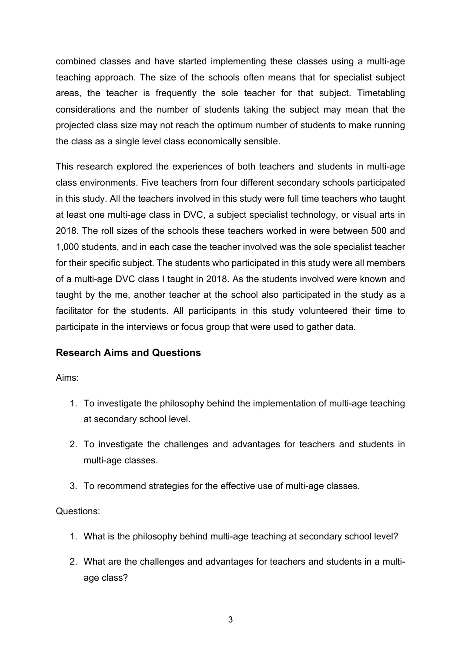combined classes and have started implementing these classes using a multi-age teaching approach. The size of the schools often means that for specialist subject areas, the teacher is frequently the sole teacher for that subject. Timetabling considerations and the number of students taking the subject may mean that the projected class size may not reach the optimum number of students to make running the class as a single level class economically sensible.

This research explored the experiences of both teachers and students in multi-age class environments. Five teachers from four different secondary schools participated in this study. All the teachers involved in this study were full time teachers who taught at least one multi-age class in DVC, a subject specialist technology, or visual arts in 2018. The roll sizes of the schools these teachers worked in were between 500 and 1,000 students, and in each case the teacher involved was the sole specialist teacher for their specific subject. The students who participated in this study were all members of a multi-age DVC class I taught in 2018. As the students involved were known and taught by the me, another teacher at the school also participated in the study as a facilitator for the students. All participants in this study volunteered their time to participate in the interviews or focus group that were used to gather data.

## **Research Aims and Questions**

Aims:

- 1. To investigate the philosophy behind the implementation of multi-age teaching at secondary school level.
- 2. To investigate the challenges and advantages for teachers and students in multi-age classes.
- 3. To recommend strategies for the effective use of multi-age classes.

#### Questions:

- 1. What is the philosophy behind multi-age teaching at secondary school level?
- 2. What are the challenges and advantages for teachers and students in a multiage class?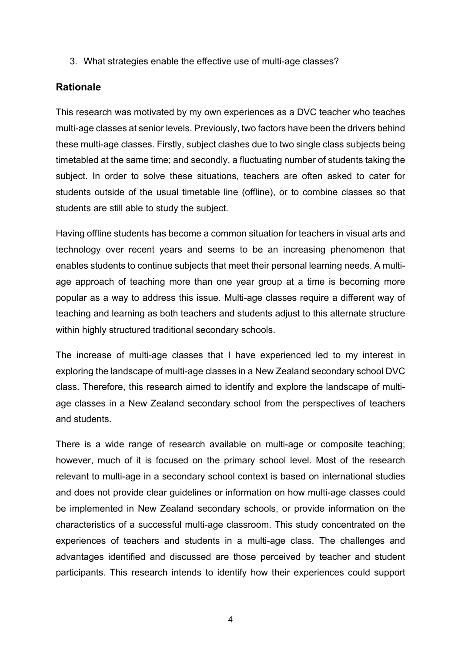3. What strategies enable the effective use of multi-age classes?

## **Rationale**

This research was motivated by my own experiences as a DVC teacher who teaches multi-age classes at senior levels. Previously, two factors have been the drivers behind these multi-age classes. Firstly, subject clashes due to two single class subjects being timetabled at the same time; and secondly, a fluctuating number of students taking the subject. In order to solve these situations, teachers are often asked to cater for students outside of the usual timetable line (offline), or to combine classes so that students are still able to study the subject.

Having offline students has become a common situation for teachers in visual arts and technology over recent years and seems to be an increasing phenomenon that enables students to continue subjects that meet their personal learning needs. A multiage approach of teaching more than one year group at a time is becoming more popular as a way to address this issue. Multi-age classes require a different way of teaching and learning as both teachers and students adjust to this alternate structure within highly structured traditional secondary schools.

The increase of multi-age classes that I have experienced led to my interest in exploring the landscape of multi-age classes in a New Zealand secondary school DVC class. Therefore, this research aimed to identify and explore the landscape of multiage classes in a New Zealand secondary school from the perspectives of teachers and students.

There is a wide range of research available on multi-age or composite teaching; however, much of it is focused on the primary school level. Most of the research relevant to multi-age in a secondary school context is based on international studies and does not provide clear guidelines or information on how multi-age classes could be implemented in New Zealand secondary schools, or provide information on the characteristics of a successful multi-age classroom. This study concentrated on the experiences of teachers and students in a multi-age class. The challenges and advantages identified and discussed are those perceived by teacher and student participants. This research intends to identify how their experiences could support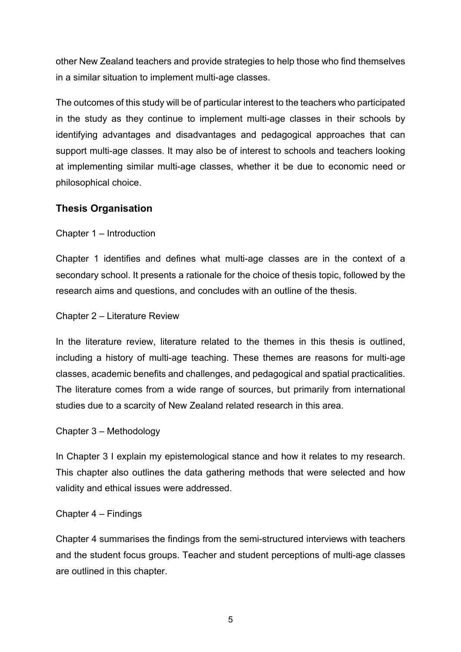other New Zealand teachers and provide strategies to help those who find themselves in a similar situation to implement multi-age classes.

The outcomes of this study will be of particular interest to the teachers who participated in the study as they continue to implement multi-age classes in their schools by identifying advantages and disadvantages and pedagogical approaches that can support multi-age classes. It may also be of interest to schools and teachers looking at implementing similar multi-age classes, whether it be due to economic need or philosophical choice.

## **Thesis Organisation**

Chapter 1 – Introduction

Chapter 1 identifies and defines what multi-age classes are in the context of a secondary school. It presents a rationale for the choice of thesis topic, followed by the research aims and questions, and concludes with an outline of the thesis.

Chapter 2 – Literature Review

In the literature review, literature related to the themes in this thesis is outlined, including a history of multi-age teaching. These themes are reasons for multi-age classes, academic benefits and challenges, and pedagogical and spatial practicalities. The literature comes from a wide range of sources, but primarily from international studies due to a scarcity of New Zealand related research in this area.

## Chapter 3 – Methodology

In Chapter 3 I explain my epistemological stance and how it relates to my research. This chapter also outlines the data gathering methods that were selected and how validity and ethical issues were addressed.

## Chapter 4 – Findings

Chapter 4 summarises the findings from the semi-structured interviews with teachers and the student focus groups. Teacher and student perceptions of multi-age classes are outlined in this chapter.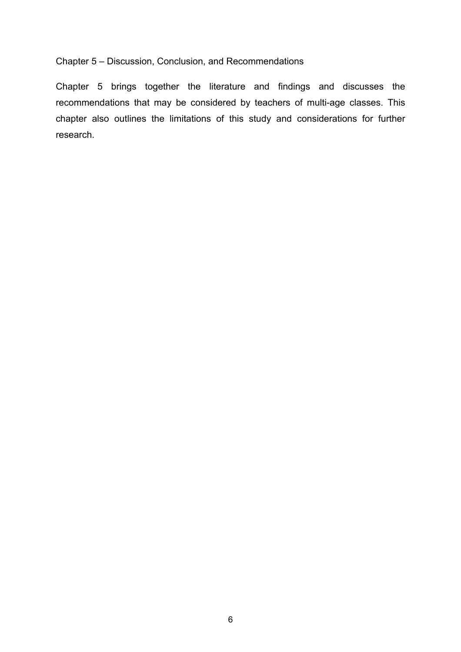#### Chapter 5 – Discussion, Conclusion, and Recommendations

Chapter 5 brings together the literature and findings and discusses the recommendations that may be considered by teachers of multi-age classes. This chapter also outlines the limitations of this study and considerations for further research.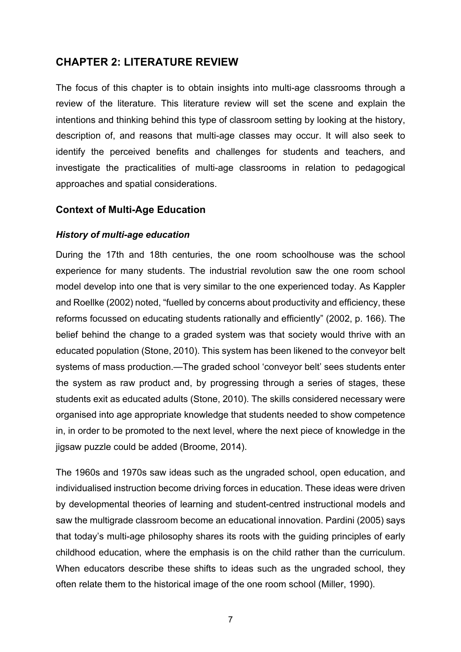## **CHAPTER 2: LITERATURE REVIEW**

The focus of this chapter is to obtain insights into multi-age classrooms through a review of the literature. This literature review will set the scene and explain the intentions and thinking behind this type of classroom setting by looking at the history, description of, and reasons that multi-age classes may occur. It will also seek to identify the perceived benefits and challenges for students and teachers, and investigate the practicalities of multi-age classrooms in relation to pedagogical approaches and spatial considerations.

#### **Context of Multi-Age Education**

#### *History of multi-age education*

During the 17th and 18th centuries, the one room schoolhouse was the school experience for many students. The industrial revolution saw the one room school model develop into one that is very similar to the one experienced today. As Kappler and Roellke (2002) noted, "fuelled by concerns about productivity and efficiency, these reforms focussed on educating students rationally and efficiently" (2002, p. 166). The belief behind the change to a graded system was that society would thrive with an educated population (Stone, 2010). This system has been likened to the conveyor belt systems of mass production.—The graded school 'conveyor belt' sees students enter the system as raw product and, by progressing through a series of stages, these students exit as educated adults (Stone, 2010). The skills considered necessary were organised into age appropriate knowledge that students needed to show competence in, in order to be promoted to the next level, where the next piece of knowledge in the jigsaw puzzle could be added (Broome, 2014).

The 1960s and 1970s saw ideas such as the ungraded school, open education, and individualised instruction become driving forces in education. These ideas were driven by developmental theories of learning and student-centred instructional models and saw the multigrade classroom become an educational innovation. Pardini (2005) says that today's multi-age philosophy shares its roots with the guiding principles of early childhood education, where the emphasis is on the child rather than the curriculum. When educators describe these shifts to ideas such as the ungraded school, they often relate them to the historical image of the one room school (Miller, 1990).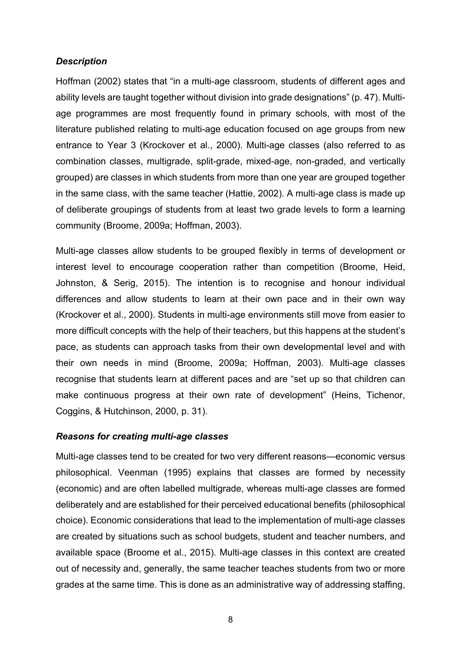#### *Description*

Hoffman (2002) states that "in a multi-age classroom, students of different ages and ability levels are taught together without division into grade designations" (p. 47). Multiage programmes are most frequently found in primary schools, with most of the literature published relating to multi-age education focused on age groups from new entrance to Year 3 (Krockover et al., 2000). Multi-age classes (also referred to as combination classes, multigrade, split-grade, mixed-age, non-graded, and vertically grouped) are classes in which students from more than one year are grouped together in the same class, with the same teacher (Hattie, 2002). A multi-age class is made up of deliberate groupings of students from at least two grade levels to form a learning community (Broome, 2009a; Hoffman, 2003).

Multi-age classes allow students to be grouped flexibly in terms of development or interest level to encourage cooperation rather than competition (Broome, Heid, Johnston, & Serig, 2015). The intention is to recognise and honour individual differences and allow students to learn at their own pace and in their own way (Krockover et al., 2000). Students in multi-age environments still move from easier to more difficult concepts with the help of their teachers, but this happens at the student's pace, as students can approach tasks from their own developmental level and with their own needs in mind (Broome, 2009a; Hoffman, 2003). Multi-age classes recognise that students learn at different paces and are "set up so that children can make continuous progress at their own rate of development" (Heins, Tichenor, Coggins, & Hutchinson, 2000, p. 31).

#### *Reasons for creating multi-age classes*

Multi-age classes tend to be created for two very different reasons—economic versus philosophical. Veenman (1995) explains that classes are formed by necessity (economic) and are often labelled multigrade, whereas multi-age classes are formed deliberately and are established for their perceived educational benefits (philosophical choice). Economic considerations that lead to the implementation of multi-age classes are created by situations such as school budgets, student and teacher numbers, and available space (Broome et al., 2015). Multi-age classes in this context are created out of necessity and, generally, the same teacher teaches students from two or more grades at the same time. This is done as an administrative way of addressing staffing,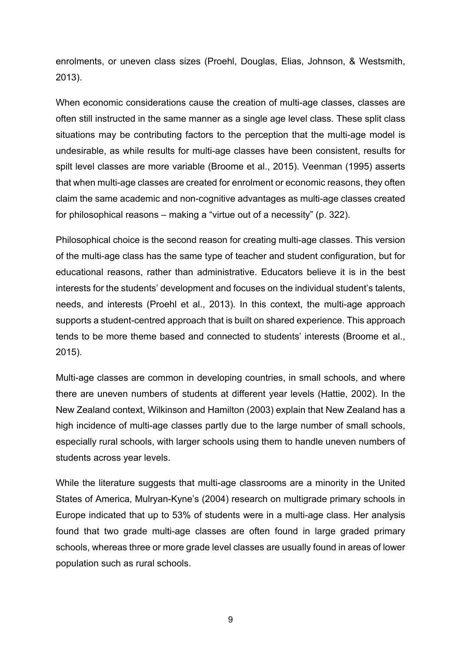enrolments, or uneven class sizes (Proehl, Douglas, Elias, Johnson, & Westsmith, 2013).

When economic considerations cause the creation of multi-age classes, classes are often still instructed in the same manner as a single age level class. These split class situations may be contributing factors to the perception that the multi-age model is undesirable, as while results for multi-age classes have been consistent, results for spilt level classes are more variable (Broome et al., 2015). Veenman (1995) asserts that when multi-age classes are created for enrolment or economic reasons, they often claim the same academic and non-cognitive advantages as multi-age classes created for philosophical reasons – making a "virtue out of a necessity" (p. 322).

Philosophical choice is the second reason for creating multi-age classes. This version of the multi-age class has the same type of teacher and student configuration, but for educational reasons, rather than administrative. Educators believe it is in the best interests for the students' development and focuses on the individual student's talents, needs, and interests (Proehl et al., 2013). In this context, the multi-age approach supports a student-centred approach that is built on shared experience. This approach tends to be more theme based and connected to students' interests (Broome et al., 2015).

Multi-age classes are common in developing countries, in small schools, and where there are uneven numbers of students at different year levels (Hattie, 2002). In the New Zealand context, Wilkinson and Hamilton (2003) explain that New Zealand has a high incidence of multi-age classes partly due to the large number of small schools, especially rural schools, with larger schools using them to handle uneven numbers of students across year levels.

While the literature suggests that multi-age classrooms are a minority in the United States of America, Mulryan-Kyne's (2004) research on multigrade primary schools in Europe indicated that up to 53% of students were in a multi-age class. Her analysis found that two grade multi-age classes are often found in large graded primary schools, whereas three or more grade level classes are usually found in areas of lower population such as rural schools.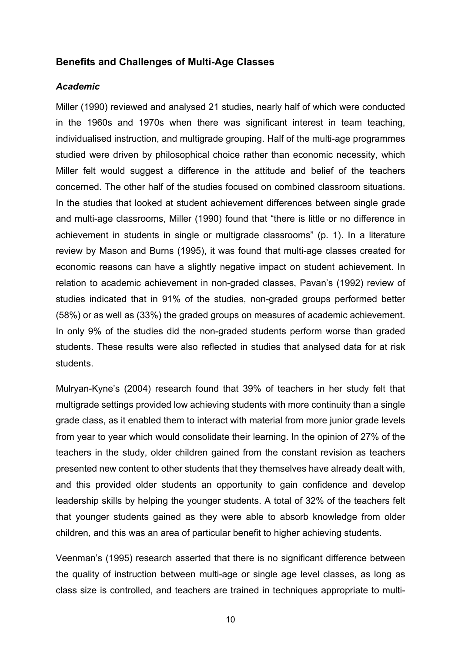#### **Benefits and Challenges of Multi-Age Classes**

#### *Academic*

Miller (1990) reviewed and analysed 21 studies, nearly half of which were conducted in the 1960s and 1970s when there was significant interest in team teaching, individualised instruction, and multigrade grouping. Half of the multi-age programmes studied were driven by philosophical choice rather than economic necessity, which Miller felt would suggest a difference in the attitude and belief of the teachers concerned. The other half of the studies focused on combined classroom situations. In the studies that looked at student achievement differences between single grade and multi-age classrooms, Miller (1990) found that "there is little or no difference in achievement in students in single or multigrade classrooms" (p. 1). In a literature review by Mason and Burns (1995), it was found that multi-age classes created for economic reasons can have a slightly negative impact on student achievement. In relation to academic achievement in non-graded classes, Pavan's (1992) review of studies indicated that in 91% of the studies, non-graded groups performed better (58%) or as well as (33%) the graded groups on measures of academic achievement. In only 9% of the studies did the non-graded students perform worse than graded students. These results were also reflected in studies that analysed data for at risk students.

Mulryan-Kyne's (2004) research found that 39% of teachers in her study felt that multigrade settings provided low achieving students with more continuity than a single grade class, as it enabled them to interact with material from more junior grade levels from year to year which would consolidate their learning. In the opinion of 27% of the teachers in the study, older children gained from the constant revision as teachers presented new content to other students that they themselves have already dealt with, and this provided older students an opportunity to gain confidence and develop leadership skills by helping the younger students. A total of 32% of the teachers felt that younger students gained as they were able to absorb knowledge from older children, and this was an area of particular benefit to higher achieving students.

Veenman's (1995) research asserted that there is no significant difference between the quality of instruction between multi-age or single age level classes, as long as class size is controlled, and teachers are trained in techniques appropriate to multi-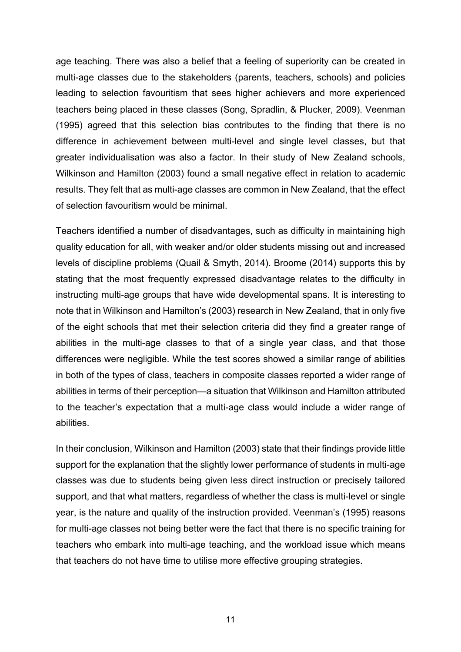age teaching. There was also a belief that a feeling of superiority can be created in multi-age classes due to the stakeholders (parents, teachers, schools) and policies leading to selection favouritism that sees higher achievers and more experienced teachers being placed in these classes (Song, Spradlin, & Plucker, 2009). Veenman (1995) agreed that this selection bias contributes to the finding that there is no difference in achievement between multi-level and single level classes, but that greater individualisation was also a factor. In their study of New Zealand schools, Wilkinson and Hamilton (2003) found a small negative effect in relation to academic results. They felt that as multi-age classes are common in New Zealand, that the effect of selection favouritism would be minimal.

Teachers identified a number of disadvantages, such as difficulty in maintaining high quality education for all, with weaker and/or older students missing out and increased levels of discipline problems (Quail & Smyth, 2014). Broome (2014) supports this by stating that the most frequently expressed disadvantage relates to the difficulty in instructing multi-age groups that have wide developmental spans. It is interesting to note that in Wilkinson and Hamilton's (2003) research in New Zealand, that in only five of the eight schools that met their selection criteria did they find a greater range of abilities in the multi-age classes to that of a single year class, and that those differences were negligible. While the test scores showed a similar range of abilities in both of the types of class, teachers in composite classes reported a wider range of abilities in terms of their perception—a situation that Wilkinson and Hamilton attributed to the teacher's expectation that a multi-age class would include a wider range of abilities.

In their conclusion, Wilkinson and Hamilton (2003) state that their findings provide little support for the explanation that the slightly lower performance of students in multi-age classes was due to students being given less direct instruction or precisely tailored support, and that what matters, regardless of whether the class is multi-level or single year, is the nature and quality of the instruction provided. Veenman's (1995) reasons for multi-age classes not being better were the fact that there is no specific training for teachers who embark into multi-age teaching, and the workload issue which means that teachers do not have time to utilise more effective grouping strategies.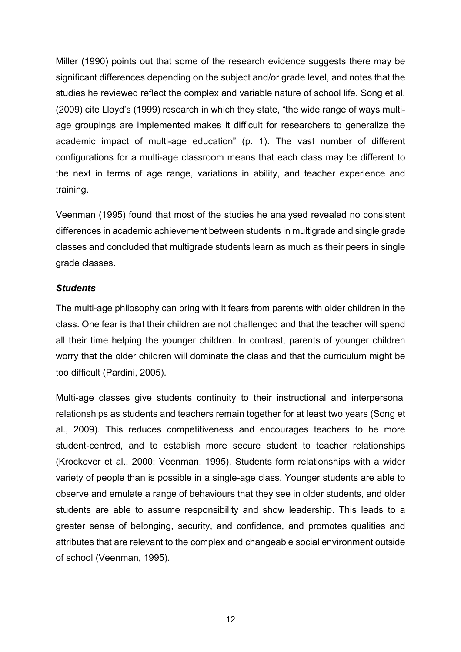Miller (1990) points out that some of the research evidence suggests there may be significant differences depending on the subject and/or grade level, and notes that the studies he reviewed reflect the complex and variable nature of school life. Song et al. (2009) cite Lloyd's (1999) research in which they state, "the wide range of ways multiage groupings are implemented makes it difficult for researchers to generalize the academic impact of multi-age education" (p. 1). The vast number of different configurations for a multi-age classroom means that each class may be different to the next in terms of age range, variations in ability, and teacher experience and training.

Veenman (1995) found that most of the studies he analysed revealed no consistent differences in academic achievement between students in multigrade and single grade classes and concluded that multigrade students learn as much as their peers in single grade classes.

#### *Students*

The multi-age philosophy can bring with it fears from parents with older children in the class. One fear is that their children are not challenged and that the teacher will spend all their time helping the younger children. In contrast, parents of younger children worry that the older children will dominate the class and that the curriculum might be too difficult (Pardini, 2005).

Multi-age classes give students continuity to their instructional and interpersonal relationships as students and teachers remain together for at least two years (Song et al., 2009). This reduces competitiveness and encourages teachers to be more student-centred, and to establish more secure student to teacher relationships (Krockover et al., 2000; Veenman, 1995). Students form relationships with a wider variety of people than is possible in a single-age class. Younger students are able to observe and emulate a range of behaviours that they see in older students, and older students are able to assume responsibility and show leadership. This leads to a greater sense of belonging, security, and confidence, and promotes qualities and attributes that are relevant to the complex and changeable social environment outside of school (Veenman, 1995).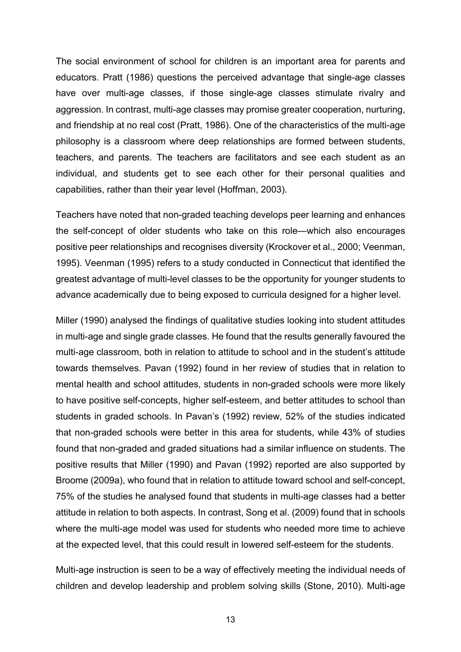The social environment of school for children is an important area for parents and educators. Pratt (1986) questions the perceived advantage that single-age classes have over multi-age classes, if those single-age classes stimulate rivalry and aggression. In contrast, multi-age classes may promise greater cooperation, nurturing, and friendship at no real cost (Pratt, 1986). One of the characteristics of the multi-age philosophy is a classroom where deep relationships are formed between students, teachers, and parents. The teachers are facilitators and see each student as an individual, and students get to see each other for their personal qualities and capabilities, rather than their year level (Hoffman, 2003).

Teachers have noted that non-graded teaching develops peer learning and enhances the self-concept of older students who take on this role—which also encourages positive peer relationships and recognises diversity (Krockover et al., 2000; Veenman, 1995). Veenman (1995) refers to a study conducted in Connecticut that identified the greatest advantage of multi-level classes to be the opportunity for younger students to advance academically due to being exposed to curricula designed for a higher level.

Miller (1990) analysed the findings of qualitative studies looking into student attitudes in multi-age and single grade classes. He found that the results generally favoured the multi-age classroom, both in relation to attitude to school and in the student's attitude towards themselves. Pavan (1992) found in her review of studies that in relation to mental health and school attitudes, students in non-graded schools were more likely to have positive self-concepts, higher self-esteem, and better attitudes to school than students in graded schools. In Pavan's (1992) review, 52% of the studies indicated that non-graded schools were better in this area for students, while 43% of studies found that non-graded and graded situations had a similar influence on students. The positive results that Miller (1990) and Pavan (1992) reported are also supported by Broome (2009a), who found that in relation to attitude toward school and self-concept, 75% of the studies he analysed found that students in multi-age classes had a better attitude in relation to both aspects. In contrast, Song et al. (2009) found that in schools where the multi-age model was used for students who needed more time to achieve at the expected level, that this could result in lowered self-esteem for the students.

Multi-age instruction is seen to be a way of effectively meeting the individual needs of children and develop leadership and problem solving skills (Stone, 2010). Multi-age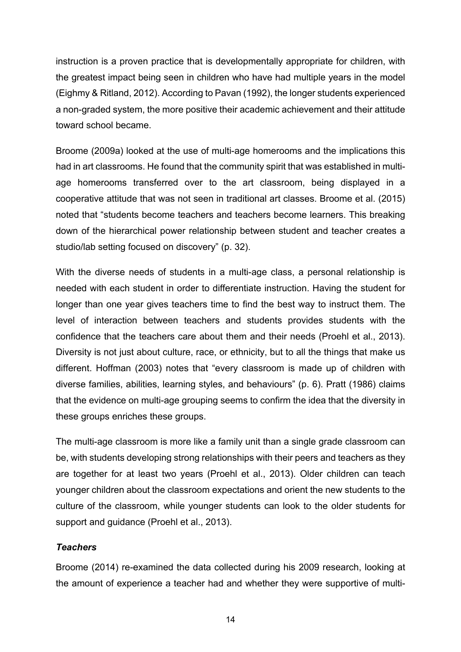instruction is a proven practice that is developmentally appropriate for children, with the greatest impact being seen in children who have had multiple years in the model (Eighmy & Ritland, 2012). According to Pavan (1992), the longer students experienced a non-graded system, the more positive their academic achievement and their attitude toward school became.

Broome (2009a) looked at the use of multi-age homerooms and the implications this had in art classrooms. He found that the community spirit that was established in multiage homerooms transferred over to the art classroom, being displayed in a cooperative attitude that was not seen in traditional art classes. Broome et al. (2015) noted that "students become teachers and teachers become learners. This breaking down of the hierarchical power relationship between student and teacher creates a studio/lab setting focused on discovery" (p. 32).

With the diverse needs of students in a multi-age class, a personal relationship is needed with each student in order to differentiate instruction. Having the student for longer than one year gives teachers time to find the best way to instruct them. The level of interaction between teachers and students provides students with the confidence that the teachers care about them and their needs (Proehl et al., 2013). Diversity is not just about culture, race, or ethnicity, but to all the things that make us different. Hoffman (2003) notes that "every classroom is made up of children with diverse families, abilities, learning styles, and behaviours" (p. 6). Pratt (1986) claims that the evidence on multi-age grouping seems to confirm the idea that the diversity in these groups enriches these groups.

The multi-age classroom is more like a family unit than a single grade classroom can be, with students developing strong relationships with their peers and teachers as they are together for at least two years (Proehl et al., 2013). Older children can teach younger children about the classroom expectations and orient the new students to the culture of the classroom, while younger students can look to the older students for support and guidance (Proehl et al., 2013).

#### *Teachers*

Broome (2014) re-examined the data collected during his 2009 research, looking at the amount of experience a teacher had and whether they were supportive of multi-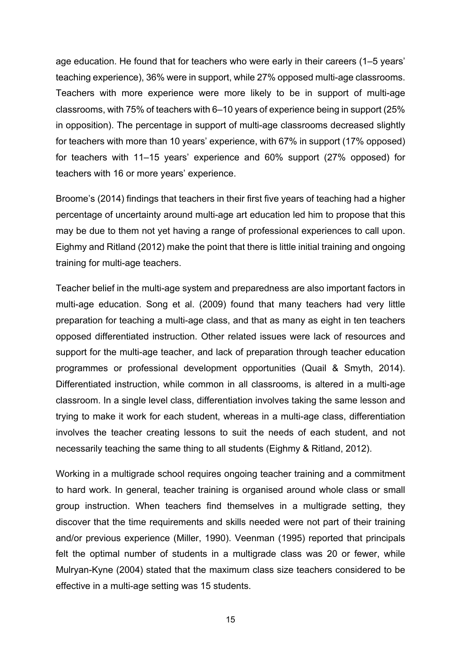age education. He found that for teachers who were early in their careers (1–5 years' teaching experience), 36% were in support, while 27% opposed multi-age classrooms. Teachers with more experience were more likely to be in support of multi-age classrooms, with 75% of teachers with 6–10 years of experience being in support (25% in opposition). The percentage in support of multi-age classrooms decreased slightly for teachers with more than 10 years' experience, with 67% in support (17% opposed) for teachers with 11–15 years' experience and 60% support (27% opposed) for teachers with 16 or more years' experience.

Broome's (2014) findings that teachers in their first five years of teaching had a higher percentage of uncertainty around multi-age art education led him to propose that this may be due to them not yet having a range of professional experiences to call upon. Eighmy and Ritland (2012) make the point that there is little initial training and ongoing training for multi-age teachers.

Teacher belief in the multi-age system and preparedness are also important factors in multi-age education. Song et al. (2009) found that many teachers had very little preparation for teaching a multi-age class, and that as many as eight in ten teachers opposed differentiated instruction. Other related issues were lack of resources and support for the multi-age teacher, and lack of preparation through teacher education programmes or professional development opportunities (Quail & Smyth, 2014). Differentiated instruction, while common in all classrooms, is altered in a multi-age classroom. In a single level class, differentiation involves taking the same lesson and trying to make it work for each student, whereas in a multi-age class, differentiation involves the teacher creating lessons to suit the needs of each student, and not necessarily teaching the same thing to all students (Eighmy & Ritland, 2012).

Working in a multigrade school requires ongoing teacher training and a commitment to hard work. In general, teacher training is organised around whole class or small group instruction. When teachers find themselves in a multigrade setting, they discover that the time requirements and skills needed were not part of their training and/or previous experience (Miller, 1990). Veenman (1995) reported that principals felt the optimal number of students in a multigrade class was 20 or fewer, while Mulryan-Kyne (2004) stated that the maximum class size teachers considered to be effective in a multi-age setting was 15 students.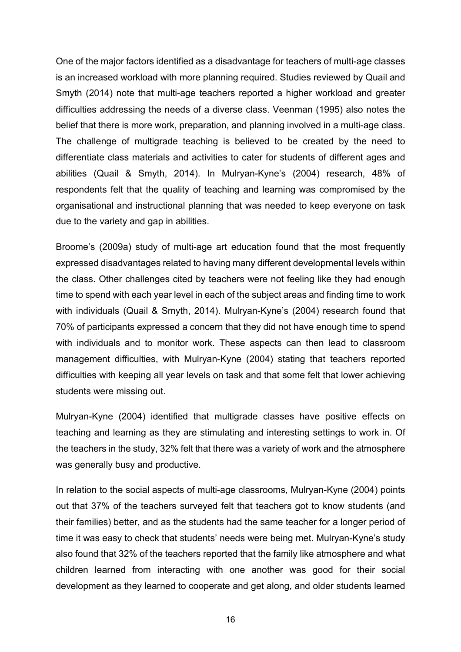One of the major factors identified as a disadvantage for teachers of multi-age classes is an increased workload with more planning required. Studies reviewed by Quail and Smyth (2014) note that multi-age teachers reported a higher workload and greater difficulties addressing the needs of a diverse class. Veenman (1995) also notes the belief that there is more work, preparation, and planning involved in a multi-age class. The challenge of multigrade teaching is believed to be created by the need to differentiate class materials and activities to cater for students of different ages and abilities (Quail & Smyth, 2014). In Mulryan-Kyne's (2004) research, 48% of respondents felt that the quality of teaching and learning was compromised by the organisational and instructional planning that was needed to keep everyone on task due to the variety and gap in abilities.

Broome's (2009a) study of multi-age art education found that the most frequently expressed disadvantages related to having many different developmental levels within the class. Other challenges cited by teachers were not feeling like they had enough time to spend with each year level in each of the subject areas and finding time to work with individuals (Quail & Smyth, 2014). Mulryan-Kyne's (2004) research found that 70% of participants expressed a concern that they did not have enough time to spend with individuals and to monitor work. These aspects can then lead to classroom management difficulties, with Mulryan-Kyne (2004) stating that teachers reported difficulties with keeping all year levels on task and that some felt that lower achieving students were missing out.

Mulryan-Kyne (2004) identified that multigrade classes have positive effects on teaching and learning as they are stimulating and interesting settings to work in. Of the teachers in the study, 32% felt that there was a variety of work and the atmosphere was generally busy and productive.

In relation to the social aspects of multi-age classrooms, Mulryan-Kyne (2004) points out that 37% of the teachers surveyed felt that teachers got to know students (and their families) better, and as the students had the same teacher for a longer period of time it was easy to check that students' needs were being met. Mulryan-Kyne's study also found that 32% of the teachers reported that the family like atmosphere and what children learned from interacting with one another was good for their social development as they learned to cooperate and get along, and older students learned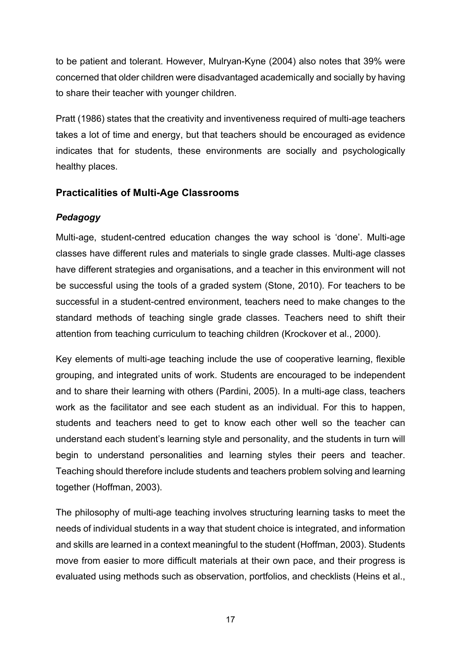to be patient and tolerant. However, Mulryan-Kyne (2004) also notes that 39% were concerned that older children were disadvantaged academically and socially by having to share their teacher with younger children.

Pratt (1986) states that the creativity and inventiveness required of multi-age teachers takes a lot of time and energy, but that teachers should be encouraged as evidence indicates that for students, these environments are socially and psychologically healthy places.

## **Practicalities of Multi-Age Classrooms**

## *Pedagogy*

Multi-age, student-centred education changes the way school is 'done'. Multi-age classes have different rules and materials to single grade classes. Multi-age classes have different strategies and organisations, and a teacher in this environment will not be successful using the tools of a graded system (Stone, 2010). For teachers to be successful in a student-centred environment, teachers need to make changes to the standard methods of teaching single grade classes. Teachers need to shift their attention from teaching curriculum to teaching children (Krockover et al., 2000).

Key elements of multi-age teaching include the use of cooperative learning, flexible grouping, and integrated units of work. Students are encouraged to be independent and to share their learning with others (Pardini, 2005). In a multi-age class, teachers work as the facilitator and see each student as an individual. For this to happen, students and teachers need to get to know each other well so the teacher can understand each student's learning style and personality, and the students in turn will begin to understand personalities and learning styles their peers and teacher. Teaching should therefore include students and teachers problem solving and learning together (Hoffman, 2003).

The philosophy of multi-age teaching involves structuring learning tasks to meet the needs of individual students in a way that student choice is integrated, and information and skills are learned in a context meaningful to the student (Hoffman, 2003). Students move from easier to more difficult materials at their own pace, and their progress is evaluated using methods such as observation, portfolios, and checklists (Heins et al.,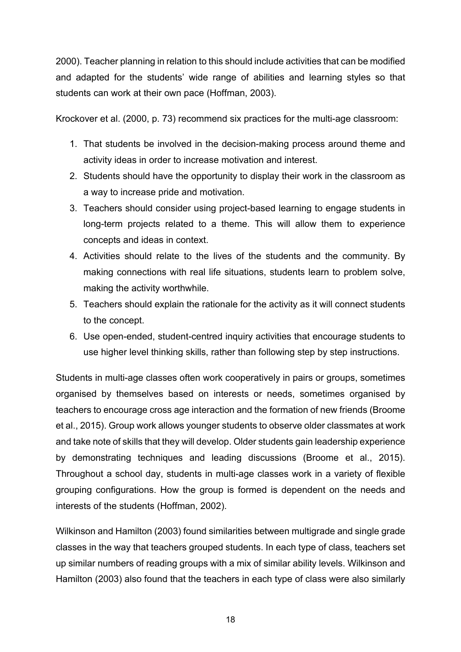2000). Teacher planning in relation to this should include activities that can be modified and adapted for the students' wide range of abilities and learning styles so that students can work at their own pace (Hoffman, 2003).

Krockover et al. (2000, p. 73) recommend six practices for the multi-age classroom:

- 1. That students be involved in the decision-making process around theme and activity ideas in order to increase motivation and interest.
- 2. Students should have the opportunity to display their work in the classroom as a way to increase pride and motivation.
- 3. Teachers should consider using project-based learning to engage students in long-term projects related to a theme. This will allow them to experience concepts and ideas in context.
- 4. Activities should relate to the lives of the students and the community. By making connections with real life situations, students learn to problem solve, making the activity worthwhile.
- 5. Teachers should explain the rationale for the activity as it will connect students to the concept.
- 6. Use open-ended, student-centred inquiry activities that encourage students to use higher level thinking skills, rather than following step by step instructions.

Students in multi-age classes often work cooperatively in pairs or groups, sometimes organised by themselves based on interests or needs, sometimes organised by teachers to encourage cross age interaction and the formation of new friends (Broome et al., 2015). Group work allows younger students to observe older classmates at work and take note of skills that they will develop. Older students gain leadership experience by demonstrating techniques and leading discussions (Broome et al., 2015). Throughout a school day, students in multi-age classes work in a variety of flexible grouping configurations. How the group is formed is dependent on the needs and interests of the students (Hoffman, 2002).

Wilkinson and Hamilton (2003) found similarities between multigrade and single grade classes in the way that teachers grouped students. In each type of class, teachers set up similar numbers of reading groups with a mix of similar ability levels. Wilkinson and Hamilton (2003) also found that the teachers in each type of class were also similarly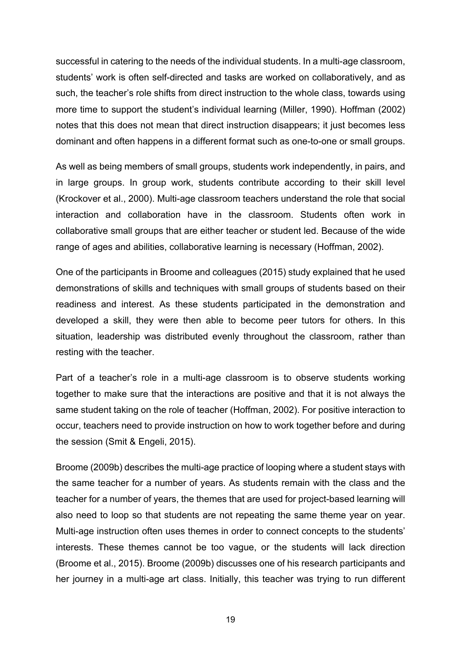successful in catering to the needs of the individual students. In a multi-age classroom, students' work is often self-directed and tasks are worked on collaboratively, and as such, the teacher's role shifts from direct instruction to the whole class, towards using more time to support the student's individual learning (Miller, 1990). Hoffman (2002) notes that this does not mean that direct instruction disappears; it just becomes less dominant and often happens in a different format such as one-to-one or small groups.

As well as being members of small groups, students work independently, in pairs, and in large groups. In group work, students contribute according to their skill level (Krockover et al., 2000). Multi-age classroom teachers understand the role that social interaction and collaboration have in the classroom. Students often work in collaborative small groups that are either teacher or student led. Because of the wide range of ages and abilities, collaborative learning is necessary (Hoffman, 2002).

One of the participants in Broome and colleagues (2015) study explained that he used demonstrations of skills and techniques with small groups of students based on their readiness and interest. As these students participated in the demonstration and developed a skill, they were then able to become peer tutors for others. In this situation, leadership was distributed evenly throughout the classroom, rather than resting with the teacher.

Part of a teacher's role in a multi-age classroom is to observe students working together to make sure that the interactions are positive and that it is not always the same student taking on the role of teacher (Hoffman, 2002). For positive interaction to occur, teachers need to provide instruction on how to work together before and during the session (Smit & Engeli, 2015).

Broome (2009b) describes the multi-age practice of looping where a student stays with the same teacher for a number of years. As students remain with the class and the teacher for a number of years, the themes that are used for project-based learning will also need to loop so that students are not repeating the same theme year on year. Multi-age instruction often uses themes in order to connect concepts to the students' interests. These themes cannot be too vague, or the students will lack direction (Broome et al., 2015). Broome (2009b) discusses one of his research participants and her journey in a multi-age art class. Initially, this teacher was trying to run different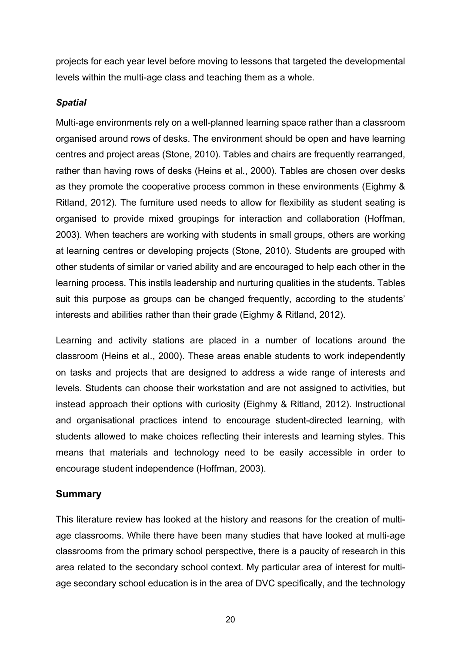projects for each year level before moving to lessons that targeted the developmental levels within the multi-age class and teaching them as a whole.

#### *Spatial*

Multi-age environments rely on a well-planned learning space rather than a classroom organised around rows of desks. The environment should be open and have learning centres and project areas (Stone, 2010). Tables and chairs are frequently rearranged, rather than having rows of desks (Heins et al., 2000). Tables are chosen over desks as they promote the cooperative process common in these environments (Eighmy & Ritland, 2012). The furniture used needs to allow for flexibility as student seating is organised to provide mixed groupings for interaction and collaboration (Hoffman, 2003). When teachers are working with students in small groups, others are working at learning centres or developing projects (Stone, 2010). Students are grouped with other students of similar or varied ability and are encouraged to help each other in the learning process. This instils leadership and nurturing qualities in the students. Tables suit this purpose as groups can be changed frequently, according to the students' interests and abilities rather than their grade (Eighmy & Ritland, 2012).

Learning and activity stations are placed in a number of locations around the classroom (Heins et al., 2000). These areas enable students to work independently on tasks and projects that are designed to address a wide range of interests and levels. Students can choose their workstation and are not assigned to activities, but instead approach their options with curiosity (Eighmy & Ritland, 2012). Instructional and organisational practices intend to encourage student-directed learning, with students allowed to make choices reflecting their interests and learning styles. This means that materials and technology need to be easily accessible in order to encourage student independence (Hoffman, 2003).

## **Summary**

This literature review has looked at the history and reasons for the creation of multiage classrooms. While there have been many studies that have looked at multi-age classrooms from the primary school perspective, there is a paucity of research in this area related to the secondary school context. My particular area of interest for multiage secondary school education is in the area of DVC specifically, and the technology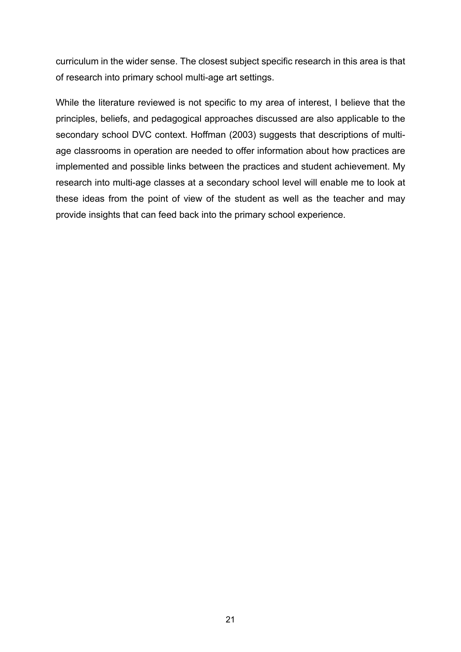curriculum in the wider sense. The closest subject specific research in this area is that of research into primary school multi-age art settings.

While the literature reviewed is not specific to my area of interest, I believe that the principles, beliefs, and pedagogical approaches discussed are also applicable to the secondary school DVC context. Hoffman (2003) suggests that descriptions of multiage classrooms in operation are needed to offer information about how practices are implemented and possible links between the practices and student achievement. My research into multi-age classes at a secondary school level will enable me to look at these ideas from the point of view of the student as well as the teacher and may provide insights that can feed back into the primary school experience.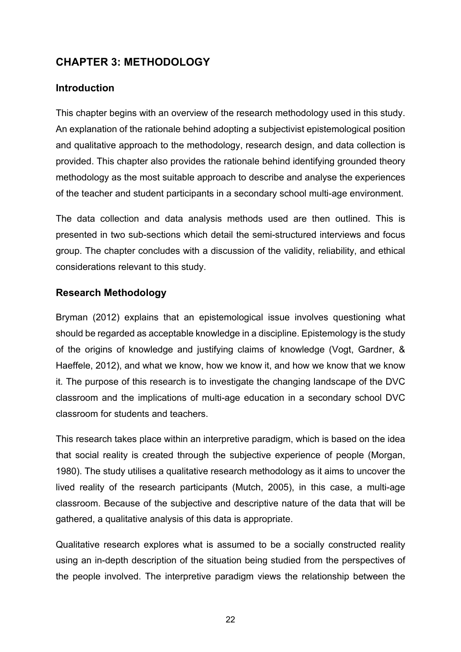## **CHAPTER 3: METHODOLOGY**

## **Introduction**

This chapter begins with an overview of the research methodology used in this study. An explanation of the rationale behind adopting a subjectivist epistemological position and qualitative approach to the methodology, research design, and data collection is provided. This chapter also provides the rationale behind identifying grounded theory methodology as the most suitable approach to describe and analyse the experiences of the teacher and student participants in a secondary school multi-age environment.

The data collection and data analysis methods used are then outlined. This is presented in two sub-sections which detail the semi-structured interviews and focus group. The chapter concludes with a discussion of the validity, reliability, and ethical considerations relevant to this study.

## **Research Methodology**

Bryman (2012) explains that an epistemological issue involves questioning what should be regarded as acceptable knowledge in a discipline. Epistemology is the study of the origins of knowledge and justifying claims of knowledge (Vogt, Gardner, & Haeffele, 2012), and what we know, how we know it, and how we know that we know it. The purpose of this research is to investigate the changing landscape of the DVC classroom and the implications of multi-age education in a secondary school DVC classroom for students and teachers.

This research takes place within an interpretive paradigm, which is based on the idea that social reality is created through the subjective experience of people (Morgan, 1980). The study utilises a qualitative research methodology as it aims to uncover the lived reality of the research participants (Mutch, 2005), in this case, a multi-age classroom. Because of the subjective and descriptive nature of the data that will be gathered, a qualitative analysis of this data is appropriate.

Qualitative research explores what is assumed to be a socially constructed reality using an in-depth description of the situation being studied from the perspectives of the people involved. The interpretive paradigm views the relationship between the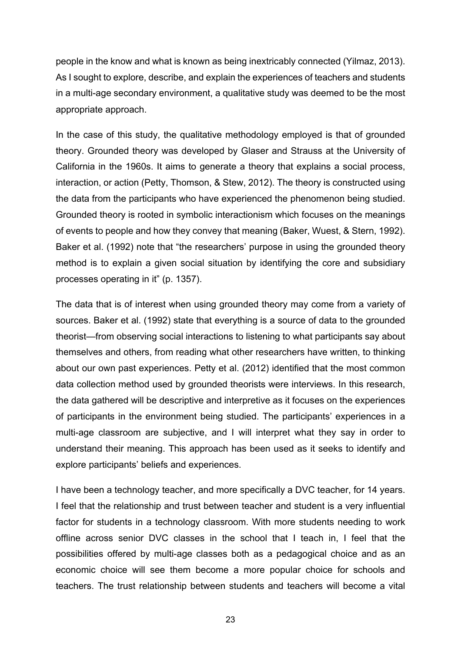people in the know and what is known as being inextricably connected (Yilmaz, 2013). As I sought to explore, describe, and explain the experiences of teachers and students in a multi-age secondary environment, a qualitative study was deemed to be the most appropriate approach.

In the case of this study, the qualitative methodology employed is that of grounded theory. Grounded theory was developed by Glaser and Strauss at the University of California in the 1960s. It aims to generate a theory that explains a social process, interaction, or action (Petty, Thomson, & Stew, 2012). The theory is constructed using the data from the participants who have experienced the phenomenon being studied. Grounded theory is rooted in symbolic interactionism which focuses on the meanings of events to people and how they convey that meaning (Baker, Wuest, & Stern, 1992). Baker et al. (1992) note that "the researchers' purpose in using the grounded theory method is to explain a given social situation by identifying the core and subsidiary processes operating in it" (p. 1357).

The data that is of interest when using grounded theory may come from a variety of sources. Baker et al. (1992) state that everything is a source of data to the grounded theorist—from observing social interactions to listening to what participants say about themselves and others, from reading what other researchers have written, to thinking about our own past experiences. Petty et al. (2012) identified that the most common data collection method used by grounded theorists were interviews. In this research, the data gathered will be descriptive and interpretive as it focuses on the experiences of participants in the environment being studied. The participants' experiences in a multi-age classroom are subjective, and I will interpret what they say in order to understand their meaning. This approach has been used as it seeks to identify and explore participants' beliefs and experiences.

I have been a technology teacher, and more specifically a DVC teacher, for 14 years. I feel that the relationship and trust between teacher and student is a very influential factor for students in a technology classroom. With more students needing to work offline across senior DVC classes in the school that I teach in, I feel that the possibilities offered by multi-age classes both as a pedagogical choice and as an economic choice will see them become a more popular choice for schools and teachers. The trust relationship between students and teachers will become a vital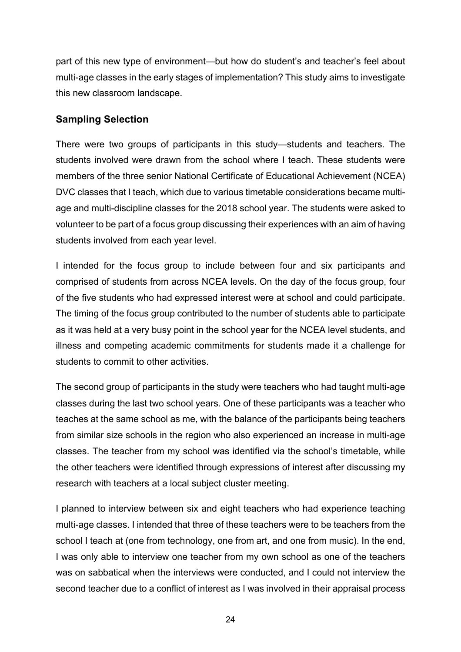part of this new type of environment—but how do student's and teacher's feel about multi-age classes in the early stages of implementation? This study aims to investigate this new classroom landscape.

## **Sampling Selection**

There were two groups of participants in this study—students and teachers. The students involved were drawn from the school where I teach. These students were members of the three senior National Certificate of Educational Achievement (NCEA) DVC classes that I teach, which due to various timetable considerations became multiage and multi-discipline classes for the 2018 school year. The students were asked to volunteer to be part of a focus group discussing their experiences with an aim of having students involved from each year level.

I intended for the focus group to include between four and six participants and comprised of students from across NCEA levels. On the day of the focus group, four of the five students who had expressed interest were at school and could participate. The timing of the focus group contributed to the number of students able to participate as it was held at a very busy point in the school year for the NCEA level students, and illness and competing academic commitments for students made it a challenge for students to commit to other activities.

The second group of participants in the study were teachers who had taught multi-age classes during the last two school years. One of these participants was a teacher who teaches at the same school as me, with the balance of the participants being teachers from similar size schools in the region who also experienced an increase in multi-age classes. The teacher from my school was identified via the school's timetable, while the other teachers were identified through expressions of interest after discussing my research with teachers at a local subject cluster meeting.

I planned to interview between six and eight teachers who had experience teaching multi-age classes. I intended that three of these teachers were to be teachers from the school I teach at (one from technology, one from art, and one from music). In the end, I was only able to interview one teacher from my own school as one of the teachers was on sabbatical when the interviews were conducted, and I could not interview the second teacher due to a conflict of interest as I was involved in their appraisal process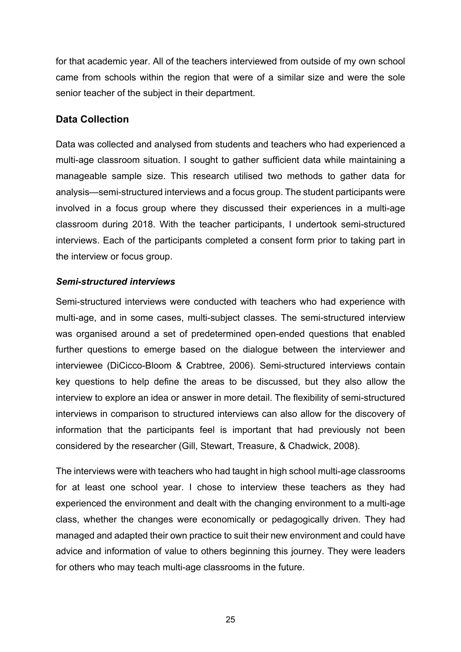for that academic year. All of the teachers interviewed from outside of my own school came from schools within the region that were of a similar size and were the sole senior teacher of the subject in their department.

#### **Data Collection**

Data was collected and analysed from students and teachers who had experienced a multi-age classroom situation. I sought to gather sufficient data while maintaining a manageable sample size. This research utilised two methods to gather data for analysis—semi-structured interviews and a focus group. The student participants were involved in a focus group where they discussed their experiences in a multi-age classroom during 2018. With the teacher participants, I undertook semi-structured interviews. Each of the participants completed a consent form prior to taking part in the interview or focus group.

#### *Semi-structured interviews*

Semi-structured interviews were conducted with teachers who had experience with multi-age, and in some cases, multi-subject classes. The semi-structured interview was organised around a set of predetermined open-ended questions that enabled further questions to emerge based on the dialogue between the interviewer and interviewee (DiCicco-Bloom & Crabtree, 2006). Semi-structured interviews contain key questions to help define the areas to be discussed, but they also allow the interview to explore an idea or answer in more detail. The flexibility of semi-structured interviews in comparison to structured interviews can also allow for the discovery of information that the participants feel is important that had previously not been considered by the researcher (Gill, Stewart, Treasure, & Chadwick, 2008).

The interviews were with teachers who had taught in high school multi-age classrooms for at least one school year. I chose to interview these teachers as they had experienced the environment and dealt with the changing environment to a multi-age class, whether the changes were economically or pedagogically driven. They had managed and adapted their own practice to suit their new environment and could have advice and information of value to others beginning this journey. They were leaders for others who may teach multi-age classrooms in the future.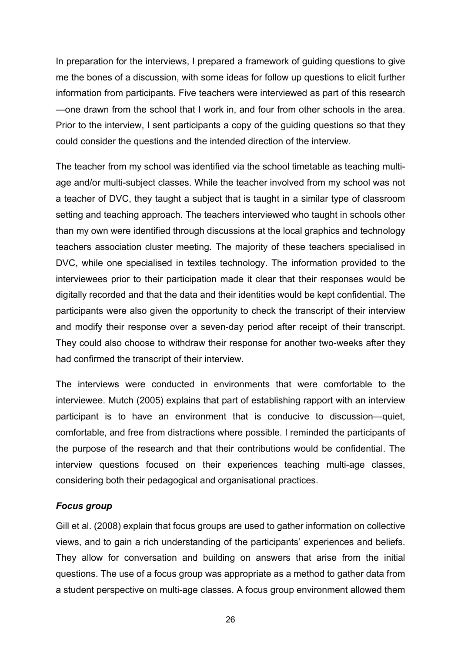In preparation for the interviews, I prepared a framework of guiding questions to give me the bones of a discussion, with some ideas for follow up questions to elicit further information from participants. Five teachers were interviewed as part of this research —one drawn from the school that I work in, and four from other schools in the area. Prior to the interview, I sent participants a copy of the guiding questions so that they could consider the questions and the intended direction of the interview.

The teacher from my school was identified via the school timetable as teaching multiage and/or multi-subject classes. While the teacher involved from my school was not a teacher of DVC, they taught a subject that is taught in a similar type of classroom setting and teaching approach. The teachers interviewed who taught in schools other than my own were identified through discussions at the local graphics and technology teachers association cluster meeting. The majority of these teachers specialised in DVC, while one specialised in textiles technology. The information provided to the interviewees prior to their participation made it clear that their responses would be digitally recorded and that the data and their identities would be kept confidential. The participants were also given the opportunity to check the transcript of their interview and modify their response over a seven-day period after receipt of their transcript. They could also choose to withdraw their response for another two-weeks after they had confirmed the transcript of their interview.

The interviews were conducted in environments that were comfortable to the interviewee. Mutch (2005) explains that part of establishing rapport with an interview participant is to have an environment that is conducive to discussion—quiet, comfortable, and free from distractions where possible. I reminded the participants of the purpose of the research and that their contributions would be confidential. The interview questions focused on their experiences teaching multi-age classes, considering both their pedagogical and organisational practices.

#### *Focus group*

Gill et al. (2008) explain that focus groups are used to gather information on collective views, and to gain a rich understanding of the participants' experiences and beliefs. They allow for conversation and building on answers that arise from the initial questions. The use of a focus group was appropriate as a method to gather data from a student perspective on multi-age classes. A focus group environment allowed them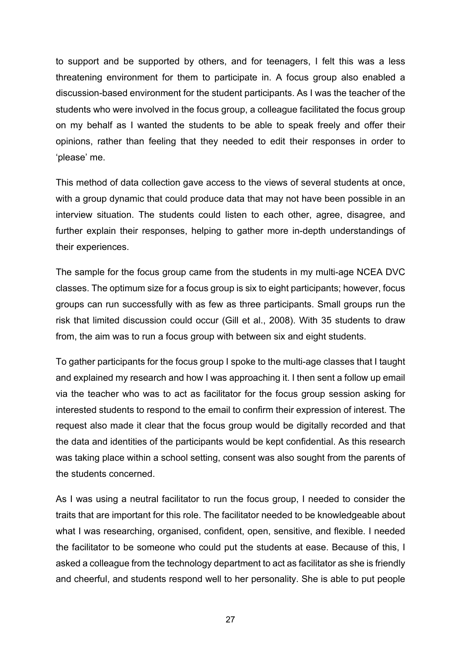to support and be supported by others, and for teenagers, I felt this was a less threatening environment for them to participate in. A focus group also enabled a discussion-based environment for the student participants. As I was the teacher of the students who were involved in the focus group, a colleague facilitated the focus group on my behalf as I wanted the students to be able to speak freely and offer their opinions, rather than feeling that they needed to edit their responses in order to 'please' me.

This method of data collection gave access to the views of several students at once, with a group dynamic that could produce data that may not have been possible in an interview situation. The students could listen to each other, agree, disagree, and further explain their responses, helping to gather more in-depth understandings of their experiences.

The sample for the focus group came from the students in my multi-age NCEA DVC classes. The optimum size for a focus group is six to eight participants; however, focus groups can run successfully with as few as three participants. Small groups run the risk that limited discussion could occur (Gill et al., 2008). With 35 students to draw from, the aim was to run a focus group with between six and eight students.

To gather participants for the focus group I spoke to the multi-age classes that I taught and explained my research and how I was approaching it. I then sent a follow up email via the teacher who was to act as facilitator for the focus group session asking for interested students to respond to the email to confirm their expression of interest. The request also made it clear that the focus group would be digitally recorded and that the data and identities of the participants would be kept confidential. As this research was taking place within a school setting, consent was also sought from the parents of the students concerned.

As I was using a neutral facilitator to run the focus group, I needed to consider the traits that are important for this role. The facilitator needed to be knowledgeable about what I was researching, organised, confident, open, sensitive, and flexible. I needed the facilitator to be someone who could put the students at ease. Because of this, I asked a colleague from the technology department to act as facilitator as she is friendly and cheerful, and students respond well to her personality. She is able to put people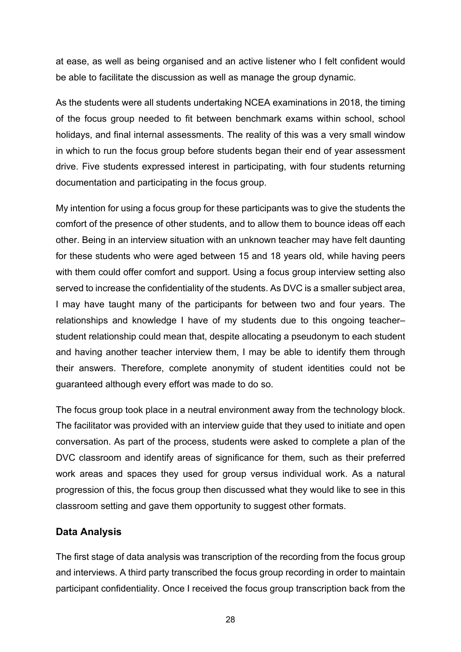at ease, as well as being organised and an active listener who I felt confident would be able to facilitate the discussion as well as manage the group dynamic.

As the students were all students undertaking NCEA examinations in 2018, the timing of the focus group needed to fit between benchmark exams within school, school holidays, and final internal assessments. The reality of this was a very small window in which to run the focus group before students began their end of year assessment drive. Five students expressed interest in participating, with four students returning documentation and participating in the focus group.

My intention for using a focus group for these participants was to give the students the comfort of the presence of other students, and to allow them to bounce ideas off each other. Being in an interview situation with an unknown teacher may have felt daunting for these students who were aged between 15 and 18 years old, while having peers with them could offer comfort and support. Using a focus group interview setting also served to increase the confidentiality of the students. As DVC is a smaller subject area, I may have taught many of the participants for between two and four years. The relationships and knowledge I have of my students due to this ongoing teacher– student relationship could mean that, despite allocating a pseudonym to each student and having another teacher interview them, I may be able to identify them through their answers. Therefore, complete anonymity of student identities could not be guaranteed although every effort was made to do so.

The focus group took place in a neutral environment away from the technology block. The facilitator was provided with an interview guide that they used to initiate and open conversation. As part of the process, students were asked to complete a plan of the DVC classroom and identify areas of significance for them, such as their preferred work areas and spaces they used for group versus individual work. As a natural progression of this, the focus group then discussed what they would like to see in this classroom setting and gave them opportunity to suggest other formats.

#### **Data Analysis**

The first stage of data analysis was transcription of the recording from the focus group and interviews. A third party transcribed the focus group recording in order to maintain participant confidentiality. Once I received the focus group transcription back from the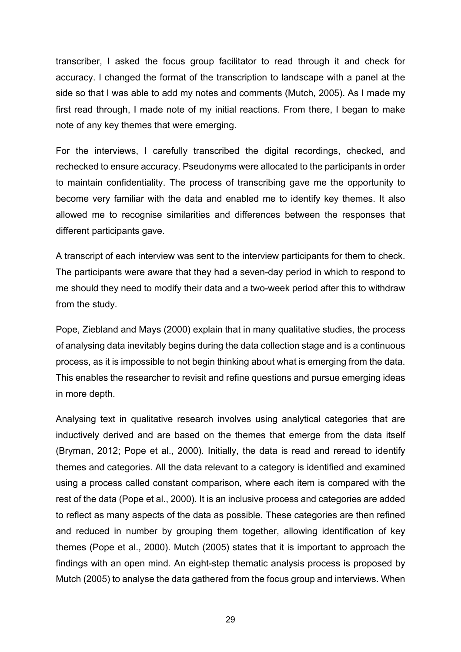transcriber, I asked the focus group facilitator to read through it and check for accuracy. I changed the format of the transcription to landscape with a panel at the side so that I was able to add my notes and comments (Mutch, 2005). As I made my first read through, I made note of my initial reactions. From there, I began to make note of any key themes that were emerging.

For the interviews, I carefully transcribed the digital recordings, checked, and rechecked to ensure accuracy. Pseudonyms were allocated to the participants in order to maintain confidentiality. The process of transcribing gave me the opportunity to become very familiar with the data and enabled me to identify key themes. It also allowed me to recognise similarities and differences between the responses that different participants gave.

A transcript of each interview was sent to the interview participants for them to check. The participants were aware that they had a seven-day period in which to respond to me should they need to modify their data and a two-week period after this to withdraw from the study.

Pope, Ziebland and Mays (2000) explain that in many qualitative studies, the process of analysing data inevitably begins during the data collection stage and is a continuous process, as it is impossible to not begin thinking about what is emerging from the data. This enables the researcher to revisit and refine questions and pursue emerging ideas in more depth.

Analysing text in qualitative research involves using analytical categories that are inductively derived and are based on the themes that emerge from the data itself (Bryman, 2012; Pope et al., 2000). Initially, the data is read and reread to identify themes and categories. All the data relevant to a category is identified and examined using a process called constant comparison, where each item is compared with the rest of the data (Pope et al., 2000). It is an inclusive process and categories are added to reflect as many aspects of the data as possible. These categories are then refined and reduced in number by grouping them together, allowing identification of key themes (Pope et al., 2000). Mutch (2005) states that it is important to approach the findings with an open mind. An eight-step thematic analysis process is proposed by Mutch (2005) to analyse the data gathered from the focus group and interviews. When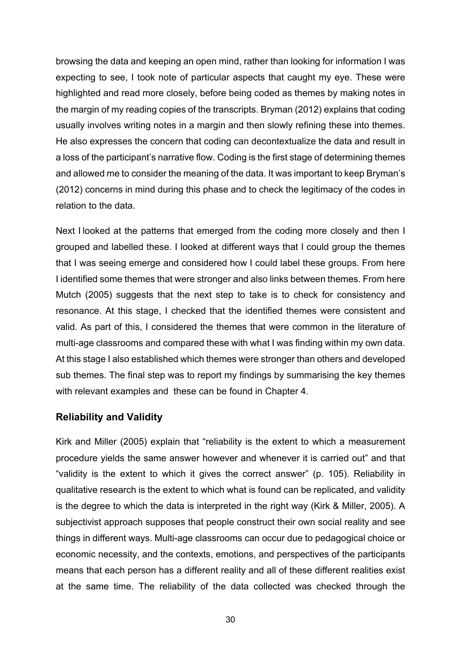browsing the data and keeping an open mind, rather than looking for information I was expecting to see, I took note of particular aspects that caught my eye. These were highlighted and read more closely, before being coded as themes by making notes in the margin of my reading copies of the transcripts. Bryman (2012) explains that coding usually involves writing notes in a margin and then slowly refining these into themes. He also expresses the concern that coding can decontextualize the data and result in a loss of the participant's narrative flow. Coding is the first stage of determining themes and allowed me to consider the meaning of the data. It was important to keep Bryman's (2012) concerns in mind during this phase and to check the legitimacy of the codes in relation to the data.

Next I looked at the patterns that emerged from the coding more closely and then I grouped and labelled these. I looked at different ways that I could group the themes that I was seeing emerge and considered how I could label these groups. From here I identified some themes that were stronger and also links between themes. From here Mutch (2005) suggests that the next step to take is to check for consistency and resonance. At this stage, I checked that the identified themes were consistent and valid. As part of this, I considered the themes that were common in the literature of multi-age classrooms and compared these with what I was finding within my own data. At this stage I also established which themes were stronger than others and developed sub themes. The final step was to report my findings by summarising the key themes with relevant examples and these can be found in Chapter 4.

#### **Reliability and Validity**

Kirk and Miller (2005) explain that "reliability is the extent to which a measurement procedure yields the same answer however and whenever it is carried out" and that "validity is the extent to which it gives the correct answer" (p. 105). Reliability in qualitative research is the extent to which what is found can be replicated, and validity is the degree to which the data is interpreted in the right way (Kirk & Miller, 2005). A subjectivist approach supposes that people construct their own social reality and see things in different ways. Multi-age classrooms can occur due to pedagogical choice or economic necessity, and the contexts, emotions, and perspectives of the participants means that each person has a different reality and all of these different realities exist at the same time. The reliability of the data collected was checked through the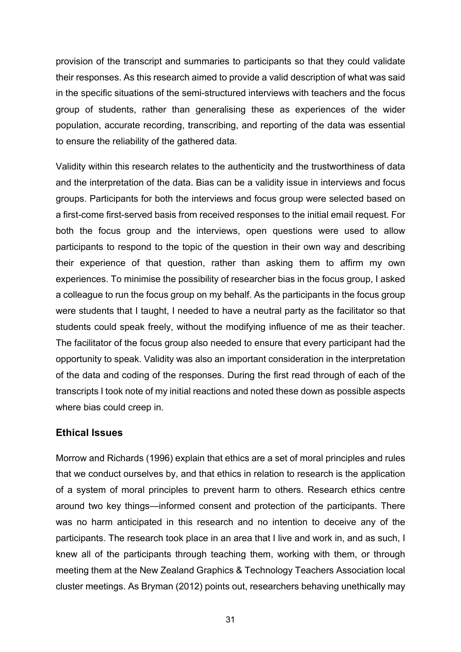provision of the transcript and summaries to participants so that they could validate their responses. As this research aimed to provide a valid description of what was said in the specific situations of the semi-structured interviews with teachers and the focus group of students, rather than generalising these as experiences of the wider population, accurate recording, transcribing, and reporting of the data was essential to ensure the reliability of the gathered data.

Validity within this research relates to the authenticity and the trustworthiness of data and the interpretation of the data. Bias can be a validity issue in interviews and focus groups. Participants for both the interviews and focus group were selected based on a first-come first-served basis from received responses to the initial email request. For both the focus group and the interviews, open questions were used to allow participants to respond to the topic of the question in their own way and describing their experience of that question, rather than asking them to affirm my own experiences. To minimise the possibility of researcher bias in the focus group, I asked a colleague to run the focus group on my behalf. As the participants in the focus group were students that I taught, I needed to have a neutral party as the facilitator so that students could speak freely, without the modifying influence of me as their teacher. The facilitator of the focus group also needed to ensure that every participant had the opportunity to speak. Validity was also an important consideration in the interpretation of the data and coding of the responses. During the first read through of each of the transcripts I took note of my initial reactions and noted these down as possible aspects where bias could creep in.

#### **Ethical Issues**

Morrow and Richards (1996) explain that ethics are a set of moral principles and rules that we conduct ourselves by, and that ethics in relation to research is the application of a system of moral principles to prevent harm to others. Research ethics centre around two key things—informed consent and protection of the participants. There was no harm anticipated in this research and no intention to deceive any of the participants. The research took place in an area that I live and work in, and as such, I knew all of the participants through teaching them, working with them, or through meeting them at the New Zealand Graphics & Technology Teachers Association local cluster meetings. As Bryman (2012) points out, researchers behaving unethically may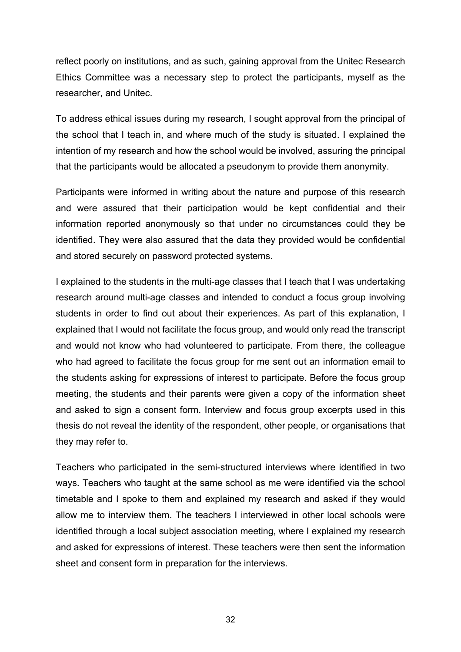reflect poorly on institutions, and as such, gaining approval from the Unitec Research Ethics Committee was a necessary step to protect the participants, myself as the researcher, and Unitec.

To address ethical issues during my research, I sought approval from the principal of the school that I teach in, and where much of the study is situated. I explained the intention of my research and how the school would be involved, assuring the principal that the participants would be allocated a pseudonym to provide them anonymity.

Participants were informed in writing about the nature and purpose of this research and were assured that their participation would be kept confidential and their information reported anonymously so that under no circumstances could they be identified. They were also assured that the data they provided would be confidential and stored securely on password protected systems.

I explained to the students in the multi-age classes that I teach that I was undertaking research around multi-age classes and intended to conduct a focus group involving students in order to find out about their experiences. As part of this explanation, I explained that I would not facilitate the focus group, and would only read the transcript and would not know who had volunteered to participate. From there, the colleague who had agreed to facilitate the focus group for me sent out an information email to the students asking for expressions of interest to participate. Before the focus group meeting, the students and their parents were given a copy of the information sheet and asked to sign a consent form. Interview and focus group excerpts used in this thesis do not reveal the identity of the respondent, other people, or organisations that they may refer to.

Teachers who participated in the semi-structured interviews where identified in two ways. Teachers who taught at the same school as me were identified via the school timetable and I spoke to them and explained my research and asked if they would allow me to interview them. The teachers I interviewed in other local schools were identified through a local subject association meeting, where I explained my research and asked for expressions of interest. These teachers were then sent the information sheet and consent form in preparation for the interviews.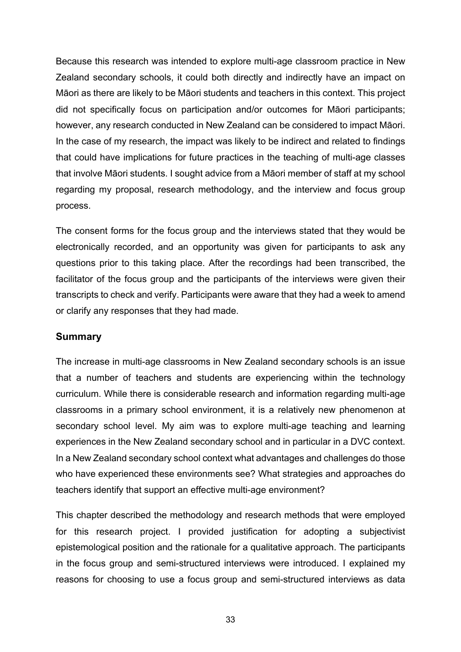Because this research was intended to explore multi-age classroom practice in New Zealand secondary schools, it could both directly and indirectly have an impact on Māori as there are likely to be Māori students and teachers in this context. This project did not specifically focus on participation and/or outcomes for Māori participants; however, any research conducted in New Zealand can be considered to impact Māori. In the case of my research, the impact was likely to be indirect and related to findings that could have implications for future practices in the teaching of multi-age classes that involve Māori students. I sought advice from a Māori member of staff at my school regarding my proposal, research methodology, and the interview and focus group process.

The consent forms for the focus group and the interviews stated that they would be electronically recorded, and an opportunity was given for participants to ask any questions prior to this taking place. After the recordings had been transcribed, the facilitator of the focus group and the participants of the interviews were given their transcripts to check and verify. Participants were aware that they had a week to amend or clarify any responses that they had made.

### **Summary**

The increase in multi-age classrooms in New Zealand secondary schools is an issue that a number of teachers and students are experiencing within the technology curriculum. While there is considerable research and information regarding multi-age classrooms in a primary school environment, it is a relatively new phenomenon at secondary school level. My aim was to explore multi-age teaching and learning experiences in the New Zealand secondary school and in particular in a DVC context. In a New Zealand secondary school context what advantages and challenges do those who have experienced these environments see? What strategies and approaches do teachers identify that support an effective multi-age environment?

This chapter described the methodology and research methods that were employed for this research project. I provided justification for adopting a subjectivist epistemological position and the rationale for a qualitative approach. The participants in the focus group and semi-structured interviews were introduced. I explained my reasons for choosing to use a focus group and semi-structured interviews as data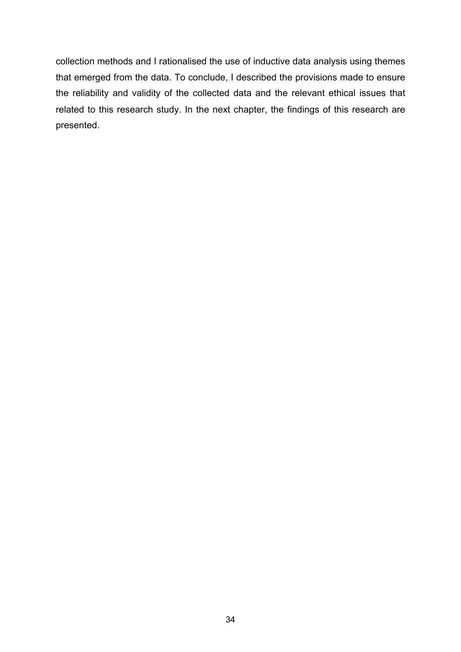collection methods and I rationalised the use of inductive data analysis using themes that emerged from the data. To conclude, I described the provisions made to ensure the reliability and validity of the collected data and the relevant ethical issues that related to this research study. In the next chapter, the findings of this research are presented.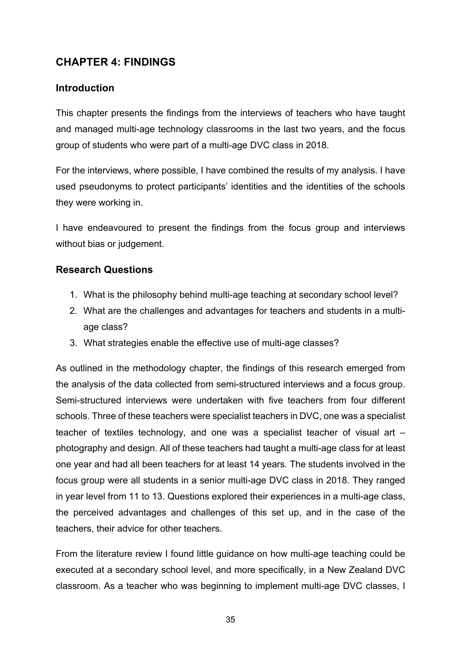# **CHAPTER 4: FINDINGS**

# **Introduction**

This chapter presents the findings from the interviews of teachers who have taught and managed multi-age technology classrooms in the last two years, and the focus group of students who were part of a multi-age DVC class in 2018.

For the interviews, where possible, I have combined the results of my analysis. I have used pseudonyms to protect participants' identities and the identities of the schools they were working in.

I have endeavoured to present the findings from the focus group and interviews without bias or judgement.

# **Research Questions**

- 1. What is the philosophy behind multi-age teaching at secondary school level?
- 2. What are the challenges and advantages for teachers and students in a multiage class?
- 3. What strategies enable the effective use of multi-age classes?

As outlined in the methodology chapter, the findings of this research emerged from the analysis of the data collected from semi-structured interviews and a focus group. Semi-structured interviews were undertaken with five teachers from four different schools. Three of these teachers were specialist teachers in DVC, one was a specialist teacher of textiles technology, and one was a specialist teacher of visual art – photography and design. All of these teachers had taught a multi-age class for at least one year and had all been teachers for at least 14 years. The students involved in the focus group were all students in a senior multi-age DVC class in 2018. They ranged in year level from 11 to 13. Questions explored their experiences in a multi-age class, the perceived advantages and challenges of this set up, and in the case of the teachers, their advice for other teachers.

From the literature review I found little guidance on how multi-age teaching could be executed at a secondary school level, and more specifically, in a New Zealand DVC classroom. As a teacher who was beginning to implement multi-age DVC classes, I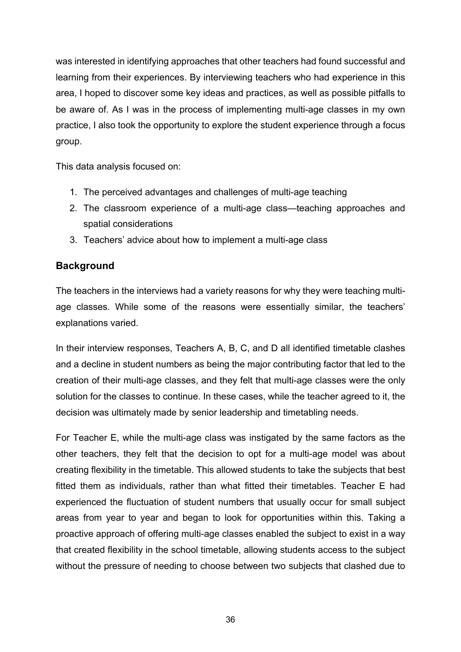was interested in identifying approaches that other teachers had found successful and learning from their experiences. By interviewing teachers who had experience in this area, I hoped to discover some key ideas and practices, as well as possible pitfalls to be aware of. As I was in the process of implementing multi-age classes in my own practice, I also took the opportunity to explore the student experience through a focus group.

This data analysis focused on:

- 1. The perceived advantages and challenges of multi-age teaching
- 2. The classroom experience of a multi-age class—teaching approaches and spatial considerations
- 3. Teachers' advice about how to implement a multi-age class

# **Background**

The teachers in the interviews had a variety reasons for why they were teaching multiage classes. While some of the reasons were essentially similar, the teachers' explanations varied.

In their interview responses, Teachers A, B, C, and D all identified timetable clashes and a decline in student numbers as being the major contributing factor that led to the creation of their multi-age classes, and they felt that multi-age classes were the only solution for the classes to continue. In these cases, while the teacher agreed to it, the decision was ultimately made by senior leadership and timetabling needs.

For Teacher E, while the multi-age class was instigated by the same factors as the other teachers, they felt that the decision to opt for a multi-age model was about creating flexibility in the timetable. This allowed students to take the subjects that best fitted them as individuals, rather than what fitted their timetables. Teacher E had experienced the fluctuation of student numbers that usually occur for small subject areas from year to year and began to look for opportunities within this. Taking a proactive approach of offering multi-age classes enabled the subject to exist in a way that created flexibility in the school timetable, allowing students access to the subject without the pressure of needing to choose between two subjects that clashed due to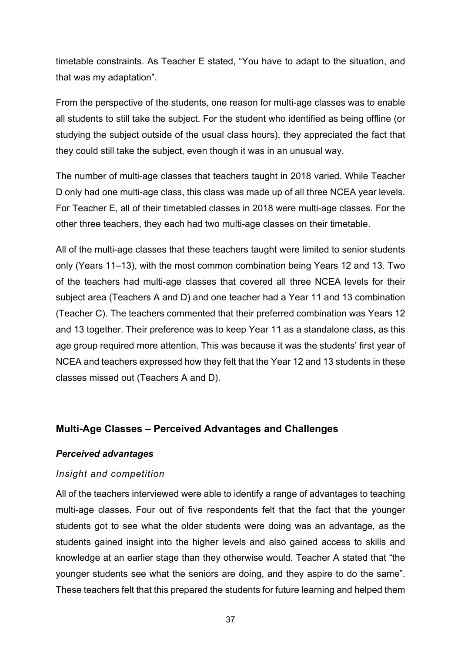timetable constraints. As Teacher E stated, "You have to adapt to the situation, and that was my adaptation".

From the perspective of the students, one reason for multi-age classes was to enable all students to still take the subject. For the student who identified as being offline (or studying the subject outside of the usual class hours), they appreciated the fact that they could still take the subject, even though it was in an unusual way.

The number of multi-age classes that teachers taught in 2018 varied. While Teacher D only had one multi-age class, this class was made up of all three NCEA year levels. For Teacher E, all of their timetabled classes in 2018 were multi-age classes. For the other three teachers, they each had two multi-age classes on their timetable.

All of the multi-age classes that these teachers taught were limited to senior students only (Years 11–13), with the most common combination being Years 12 and 13. Two of the teachers had multi-age classes that covered all three NCEA levels for their subject area (Teachers A and D) and one teacher had a Year 11 and 13 combination (Teacher C). The teachers commented that their preferred combination was Years 12 and 13 together. Their preference was to keep Year 11 as a standalone class, as this age group required more attention. This was because it was the students' first year of NCEA and teachers expressed how they felt that the Year 12 and 13 students in these classes missed out (Teachers A and D).

# **Multi-Age Classes – Perceived Advantages and Challenges**

### *Perceived advantages*

# *Insight and competition*

All of the teachers interviewed were able to identify a range of advantages to teaching multi-age classes. Four out of five respondents felt that the fact that the younger students got to see what the older students were doing was an advantage, as the students gained insight into the higher levels and also gained access to skills and knowledge at an earlier stage than they otherwise would. Teacher A stated that "the younger students see what the seniors are doing, and they aspire to do the same". These teachers felt that this prepared the students for future learning and helped them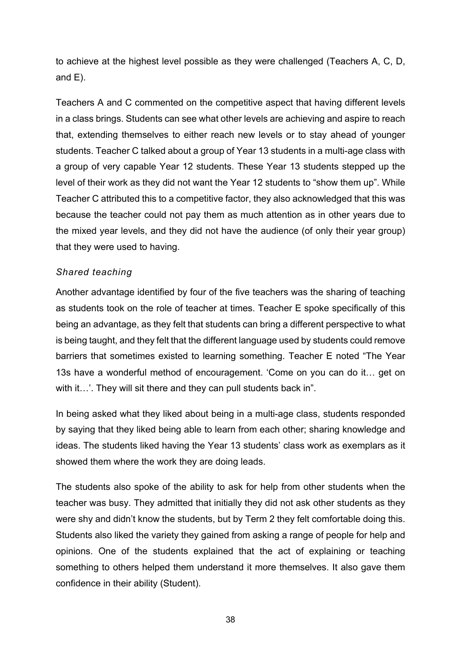to achieve at the highest level possible as they were challenged (Teachers A, C, D, and E).

Teachers A and C commented on the competitive aspect that having different levels in a class brings. Students can see what other levels are achieving and aspire to reach that, extending themselves to either reach new levels or to stay ahead of younger students. Teacher C talked about a group of Year 13 students in a multi-age class with a group of very capable Year 12 students. These Year 13 students stepped up the level of their work as they did not want the Year 12 students to "show them up". While Teacher C attributed this to a competitive factor, they also acknowledged that this was because the teacher could not pay them as much attention as in other years due to the mixed year levels, and they did not have the audience (of only their year group) that they were used to having.

#### *Shared teaching*

Another advantage identified by four of the five teachers was the sharing of teaching as students took on the role of teacher at times. Teacher E spoke specifically of this being an advantage, as they felt that students can bring a different perspective to what is being taught, and they felt that the different language used by students could remove barriers that sometimes existed to learning something. Teacher E noted "The Year 13s have a wonderful method of encouragement. 'Come on you can do it… get on with it...'. They will sit there and they can pull students back in".

In being asked what they liked about being in a multi-age class, students responded by saying that they liked being able to learn from each other; sharing knowledge and ideas. The students liked having the Year 13 students' class work as exemplars as it showed them where the work they are doing leads.

The students also spoke of the ability to ask for help from other students when the teacher was busy. They admitted that initially they did not ask other students as they were shy and didn't know the students, but by Term 2 they felt comfortable doing this. Students also liked the variety they gained from asking a range of people for help and opinions. One of the students explained that the act of explaining or teaching something to others helped them understand it more themselves. It also gave them confidence in their ability (Student).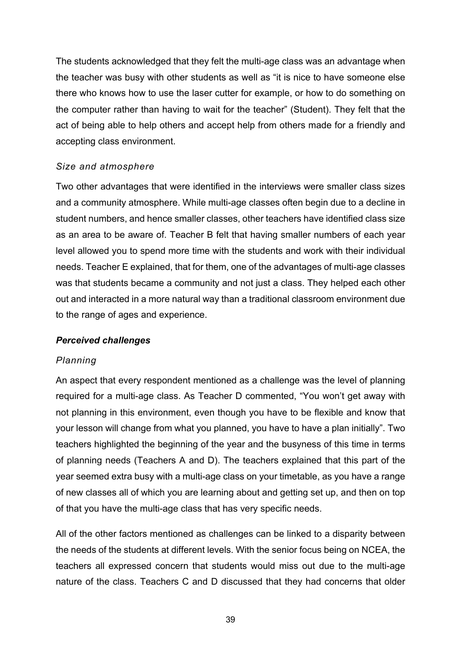The students acknowledged that they felt the multi-age class was an advantage when the teacher was busy with other students as well as "it is nice to have someone else there who knows how to use the laser cutter for example, or how to do something on the computer rather than having to wait for the teacher" (Student). They felt that the act of being able to help others and accept help from others made for a friendly and accepting class environment.

## *Size and atmosphere*

Two other advantages that were identified in the interviews were smaller class sizes and a community atmosphere. While multi-age classes often begin due to a decline in student numbers, and hence smaller classes, other teachers have identified class size as an area to be aware of. Teacher B felt that having smaller numbers of each year level allowed you to spend more time with the students and work with their individual needs. Teacher E explained, that for them, one of the advantages of multi-age classes was that students became a community and not just a class. They helped each other out and interacted in a more natural way than a traditional classroom environment due to the range of ages and experience.

### *Perceived challenges*

### *Planning*

An aspect that every respondent mentioned as a challenge was the level of planning required for a multi-age class. As Teacher D commented, "You won't get away with not planning in this environment, even though you have to be flexible and know that your lesson will change from what you planned, you have to have a plan initially". Two teachers highlighted the beginning of the year and the busyness of this time in terms of planning needs (Teachers A and D). The teachers explained that this part of the year seemed extra busy with a multi-age class on your timetable, as you have a range of new classes all of which you are learning about and getting set up, and then on top of that you have the multi-age class that has very specific needs.

All of the other factors mentioned as challenges can be linked to a disparity between the needs of the students at different levels. With the senior focus being on NCEA, the teachers all expressed concern that students would miss out due to the multi-age nature of the class. Teachers C and D discussed that they had concerns that older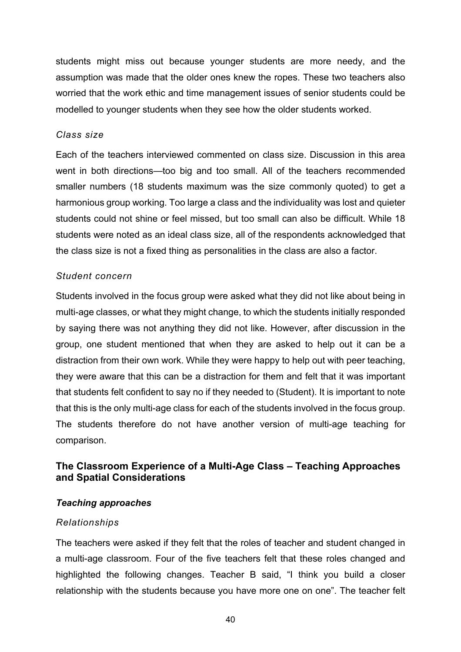students might miss out because younger students are more needy, and the assumption was made that the older ones knew the ropes. These two teachers also worried that the work ethic and time management issues of senior students could be modelled to younger students when they see how the older students worked.

#### *Class size*

Each of the teachers interviewed commented on class size. Discussion in this area went in both directions—too big and too small. All of the teachers recommended smaller numbers (18 students maximum was the size commonly quoted) to get a harmonious group working. Too large a class and the individuality was lost and quieter students could not shine or feel missed, but too small can also be difficult. While 18 students were noted as an ideal class size, all of the respondents acknowledged that the class size is not a fixed thing as personalities in the class are also a factor.

### *Student concern*

Students involved in the focus group were asked what they did not like about being in multi-age classes, or what they might change, to which the students initially responded by saying there was not anything they did not like. However, after discussion in the group, one student mentioned that when they are asked to help out it can be a distraction from their own work. While they were happy to help out with peer teaching, they were aware that this can be a distraction for them and felt that it was important that students felt confident to say no if they needed to (Student). It is important to note that this is the only multi-age class for each of the students involved in the focus group. The students therefore do not have another version of multi-age teaching for comparison.

# **The Classroom Experience of a Multi-Age Class – Teaching Approaches and Spatial Considerations**

### *Teaching approaches*

### *Relationships*

The teachers were asked if they felt that the roles of teacher and student changed in a multi-age classroom. Four of the five teachers felt that these roles changed and highlighted the following changes. Teacher B said, "I think you build a closer relationship with the students because you have more one on one". The teacher felt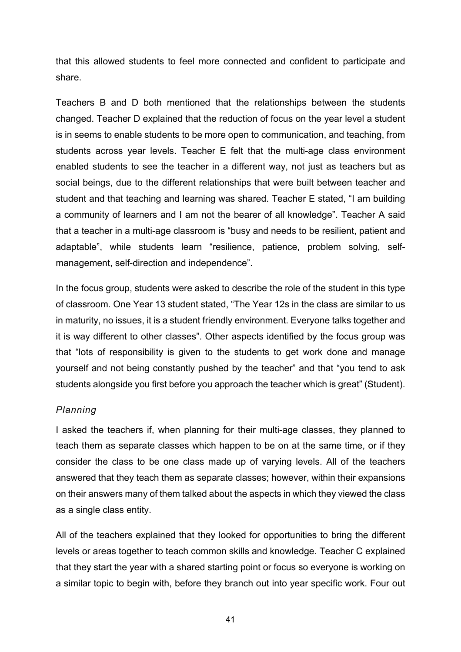that this allowed students to feel more connected and confident to participate and share.

Teachers B and D both mentioned that the relationships between the students changed. Teacher D explained that the reduction of focus on the year level a student is in seems to enable students to be more open to communication, and teaching, from students across year levels. Teacher E felt that the multi-age class environment enabled students to see the teacher in a different way, not just as teachers but as social beings, due to the different relationships that were built between teacher and student and that teaching and learning was shared. Teacher E stated, "I am building a community of learners and I am not the bearer of all knowledge". Teacher A said that a teacher in a multi-age classroom is "busy and needs to be resilient, patient and adaptable", while students learn "resilience, patience, problem solving, selfmanagement, self-direction and independence".

In the focus group, students were asked to describe the role of the student in this type of classroom. One Year 13 student stated, "The Year 12s in the class are similar to us in maturity, no issues, it is a student friendly environment. Everyone talks together and it is way different to other classes". Other aspects identified by the focus group was that "lots of responsibility is given to the students to get work done and manage yourself and not being constantly pushed by the teacher" and that "you tend to ask students alongside you first before you approach the teacher which is great" (Student).

### *Planning*

I asked the teachers if, when planning for their multi-age classes, they planned to teach them as separate classes which happen to be on at the same time, or if they consider the class to be one class made up of varying levels. All of the teachers answered that they teach them as separate classes; however, within their expansions on their answers many of them talked about the aspects in which they viewed the class as a single class entity.

All of the teachers explained that they looked for opportunities to bring the different levels or areas together to teach common skills and knowledge. Teacher C explained that they start the year with a shared starting point or focus so everyone is working on a similar topic to begin with, before they branch out into year specific work. Four out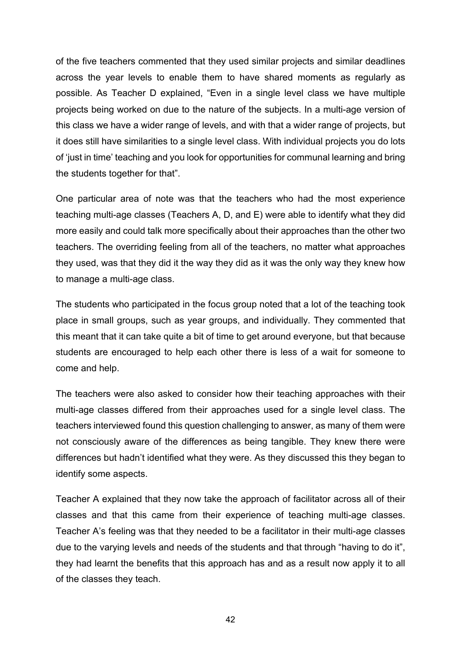of the five teachers commented that they used similar projects and similar deadlines across the year levels to enable them to have shared moments as regularly as possible. As Teacher D explained, "Even in a single level class we have multiple projects being worked on due to the nature of the subjects. In a multi-age version of this class we have a wider range of levels, and with that a wider range of projects, but it does still have similarities to a single level class. With individual projects you do lots of 'just in time' teaching and you look for opportunities for communal learning and bring the students together for that".

One particular area of note was that the teachers who had the most experience teaching multi-age classes (Teachers A, D, and E) were able to identify what they did more easily and could talk more specifically about their approaches than the other two teachers. The overriding feeling from all of the teachers, no matter what approaches they used, was that they did it the way they did as it was the only way they knew how to manage a multi-age class.

The students who participated in the focus group noted that a lot of the teaching took place in small groups, such as year groups, and individually. They commented that this meant that it can take quite a bit of time to get around everyone, but that because students are encouraged to help each other there is less of a wait for someone to come and help.

The teachers were also asked to consider how their teaching approaches with their multi-age classes differed from their approaches used for a single level class. The teachers interviewed found this question challenging to answer, as many of them were not consciously aware of the differences as being tangible. They knew there were differences but hadn't identified what they were. As they discussed this they began to identify some aspects.

Teacher A explained that they now take the approach of facilitator across all of their classes and that this came from their experience of teaching multi-age classes. Teacher A's feeling was that they needed to be a facilitator in their multi-age classes due to the varying levels and needs of the students and that through "having to do it", they had learnt the benefits that this approach has and as a result now apply it to all of the classes they teach.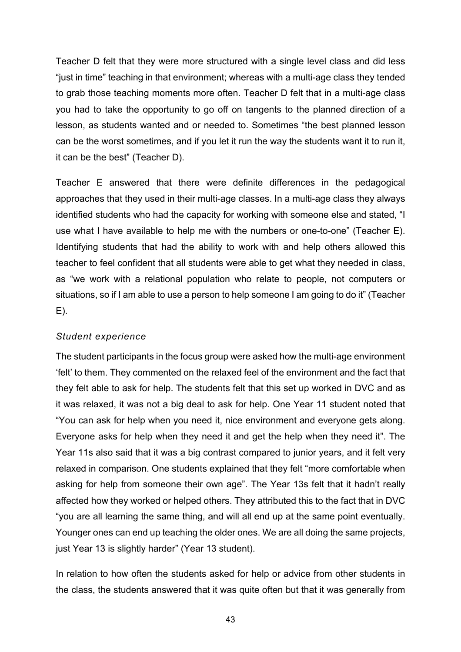Teacher D felt that they were more structured with a single level class and did less "just in time" teaching in that environment; whereas with a multi-age class they tended to grab those teaching moments more often. Teacher D felt that in a multi-age class you had to take the opportunity to go off on tangents to the planned direction of a lesson, as students wanted and or needed to. Sometimes "the best planned lesson can be the worst sometimes, and if you let it run the way the students want it to run it, it can be the best" (Teacher D).

Teacher E answered that there were definite differences in the pedagogical approaches that they used in their multi-age classes. In a multi-age class they always identified students who had the capacity for working with someone else and stated, "I use what I have available to help me with the numbers or one-to-one" (Teacher E). Identifying students that had the ability to work with and help others allowed this teacher to feel confident that all students were able to get what they needed in class, as "we work with a relational population who relate to people, not computers or situations, so if I am able to use a person to help someone I am going to do it" (Teacher  $E$ ).

### *Student experience*

The student participants in the focus group were asked how the multi-age environment 'felt' to them. They commented on the relaxed feel of the environment and the fact that they felt able to ask for help. The students felt that this set up worked in DVC and as it was relaxed, it was not a big deal to ask for help. One Year 11 student noted that "You can ask for help when you need it, nice environment and everyone gets along. Everyone asks for help when they need it and get the help when they need it". The Year 11s also said that it was a big contrast compared to junior years, and it felt very relaxed in comparison. One students explained that they felt "more comfortable when asking for help from someone their own age". The Year 13s felt that it hadn't really affected how they worked or helped others. They attributed this to the fact that in DVC "you are all learning the same thing, and will all end up at the same point eventually. Younger ones can end up teaching the older ones. We are all doing the same projects, just Year 13 is slightly harder" (Year 13 student).

In relation to how often the students asked for help or advice from other students in the class, the students answered that it was quite often but that it was generally from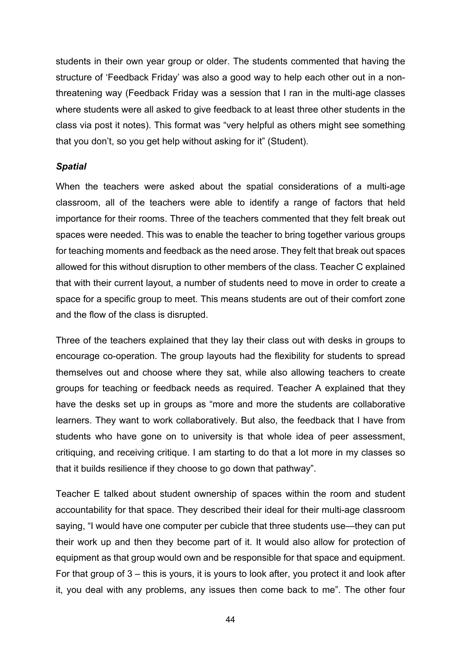students in their own year group or older. The students commented that having the structure of 'Feedback Friday' was also a good way to help each other out in a nonthreatening way (Feedback Friday was a session that I ran in the multi-age classes where students were all asked to give feedback to at least three other students in the class via post it notes). This format was "very helpful as others might see something that you don't, so you get help without asking for it" (Student).

### *Spatial*

When the teachers were asked about the spatial considerations of a multi-age classroom, all of the teachers were able to identify a range of factors that held importance for their rooms. Three of the teachers commented that they felt break out spaces were needed. This was to enable the teacher to bring together various groups for teaching moments and feedback as the need arose. They felt that break out spaces allowed for this without disruption to other members of the class. Teacher C explained that with their current layout, a number of students need to move in order to create a space for a specific group to meet. This means students are out of their comfort zone and the flow of the class is disrupted.

Three of the teachers explained that they lay their class out with desks in groups to encourage co-operation. The group layouts had the flexibility for students to spread themselves out and choose where they sat, while also allowing teachers to create groups for teaching or feedback needs as required. Teacher A explained that they have the desks set up in groups as "more and more the students are collaborative learners. They want to work collaboratively. But also, the feedback that I have from students who have gone on to university is that whole idea of peer assessment, critiquing, and receiving critique. I am starting to do that a lot more in my classes so that it builds resilience if they choose to go down that pathway".

Teacher E talked about student ownership of spaces within the room and student accountability for that space. They described their ideal for their multi-age classroom saying, "I would have one computer per cubicle that three students use—they can put their work up and then they become part of it. It would also allow for protection of equipment as that group would own and be responsible for that space and equipment. For that group of 3 – this is yours, it is yours to look after, you protect it and look after it, you deal with any problems, any issues then come back to me". The other four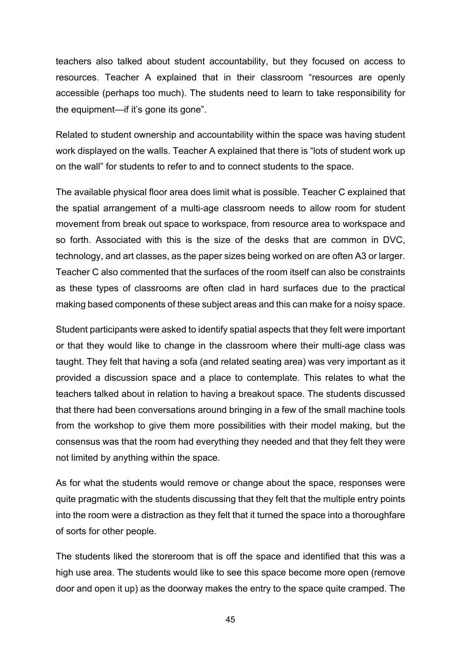teachers also talked about student accountability, but they focused on access to resources. Teacher A explained that in their classroom "resources are openly accessible (perhaps too much). The students need to learn to take responsibility for the equipment—if it's gone its gone".

Related to student ownership and accountability within the space was having student work displayed on the walls. Teacher A explained that there is "lots of student work up on the wall" for students to refer to and to connect students to the space.

The available physical floor area does limit what is possible. Teacher C explained that the spatial arrangement of a multi-age classroom needs to allow room for student movement from break out space to workspace, from resource area to workspace and so forth. Associated with this is the size of the desks that are common in DVC, technology, and art classes, as the paper sizes being worked on are often A3 or larger. Teacher C also commented that the surfaces of the room itself can also be constraints as these types of classrooms are often clad in hard surfaces due to the practical making based components of these subject areas and this can make for a noisy space.

Student participants were asked to identify spatial aspects that they felt were important or that they would like to change in the classroom where their multi-age class was taught. They felt that having a sofa (and related seating area) was very important as it provided a discussion space and a place to contemplate. This relates to what the teachers talked about in relation to having a breakout space. The students discussed that there had been conversations around bringing in a few of the small machine tools from the workshop to give them more possibilities with their model making, but the consensus was that the room had everything they needed and that they felt they were not limited by anything within the space.

As for what the students would remove or change about the space, responses were quite pragmatic with the students discussing that they felt that the multiple entry points into the room were a distraction as they felt that it turned the space into a thoroughfare of sorts for other people.

The students liked the storeroom that is off the space and identified that this was a high use area. The students would like to see this space become more open (remove door and open it up) as the doorway makes the entry to the space quite cramped. The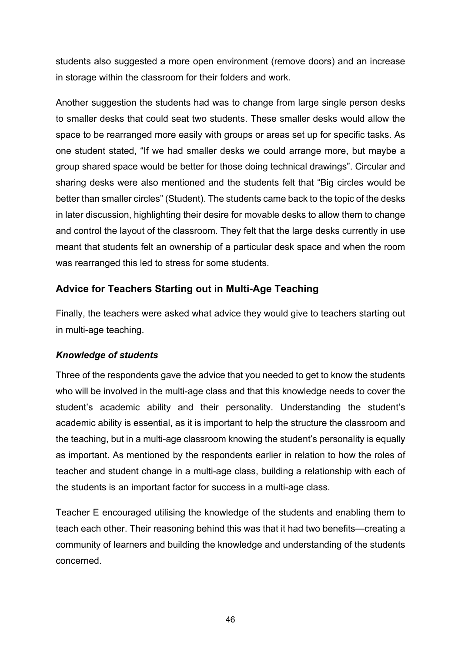students also suggested a more open environment (remove doors) and an increase in storage within the classroom for their folders and work.

Another suggestion the students had was to change from large single person desks to smaller desks that could seat two students. These smaller desks would allow the space to be rearranged more easily with groups or areas set up for specific tasks. As one student stated, "If we had smaller desks we could arrange more, but maybe a group shared space would be better for those doing technical drawings". Circular and sharing desks were also mentioned and the students felt that "Big circles would be better than smaller circles" (Student). The students came back to the topic of the desks in later discussion, highlighting their desire for movable desks to allow them to change and control the layout of the classroom. They felt that the large desks currently in use meant that students felt an ownership of a particular desk space and when the room was rearranged this led to stress for some students.

# **Advice for Teachers Starting out in Multi-Age Teaching**

Finally, the teachers were asked what advice they would give to teachers starting out in multi-age teaching.

# *Knowledge of students*

Three of the respondents gave the advice that you needed to get to know the students who will be involved in the multi-age class and that this knowledge needs to cover the student's academic ability and their personality. Understanding the student's academic ability is essential, as it is important to help the structure the classroom and the teaching, but in a multi-age classroom knowing the student's personality is equally as important. As mentioned by the respondents earlier in relation to how the roles of teacher and student change in a multi-age class, building a relationship with each of the students is an important factor for success in a multi-age class.

Teacher E encouraged utilising the knowledge of the students and enabling them to teach each other. Their reasoning behind this was that it had two benefits—creating a community of learners and building the knowledge and understanding of the students concerned.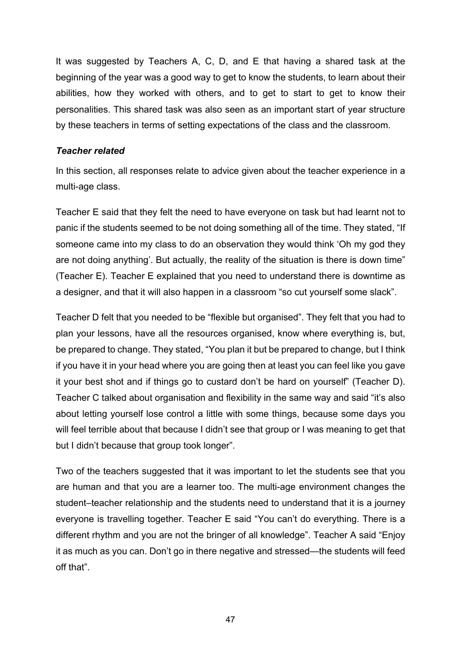It was suggested by Teachers A, C, D, and E that having a shared task at the beginning of the year was a good way to get to know the students, to learn about their abilities, how they worked with others, and to get to start to get to know their personalities. This shared task was also seen as an important start of year structure by these teachers in terms of setting expectations of the class and the classroom.

#### *Teacher related*

In this section, all responses relate to advice given about the teacher experience in a multi-age class.

Teacher E said that they felt the need to have everyone on task but had learnt not to panic if the students seemed to be not doing something all of the time. They stated, "If someone came into my class to do an observation they would think 'Oh my god they are not doing anything'. But actually, the reality of the situation is there is down time" (Teacher E). Teacher E explained that you need to understand there is downtime as a designer, and that it will also happen in a classroom "so cut yourself some slack".

Teacher D felt that you needed to be "flexible but organised". They felt that you had to plan your lessons, have all the resources organised, know where everything is, but, be prepared to change. They stated, "You plan it but be prepared to change, but I think if you have it in your head where you are going then at least you can feel like you gave it your best shot and if things go to custard don't be hard on yourself" (Teacher D). Teacher C talked about organisation and flexibility in the same way and said "it's also about letting yourself lose control a little with some things, because some days you will feel terrible about that because I didn't see that group or I was meaning to get that but I didn't because that group took longer".

Two of the teachers suggested that it was important to let the students see that you are human and that you are a learner too. The multi-age environment changes the student–teacher relationship and the students need to understand that it is a journey everyone is travelling together. Teacher E said "You can't do everything. There is a different rhythm and you are not the bringer of all knowledge". Teacher A said "Enjoy it as much as you can. Don't go in there negative and stressed—the students will feed off that".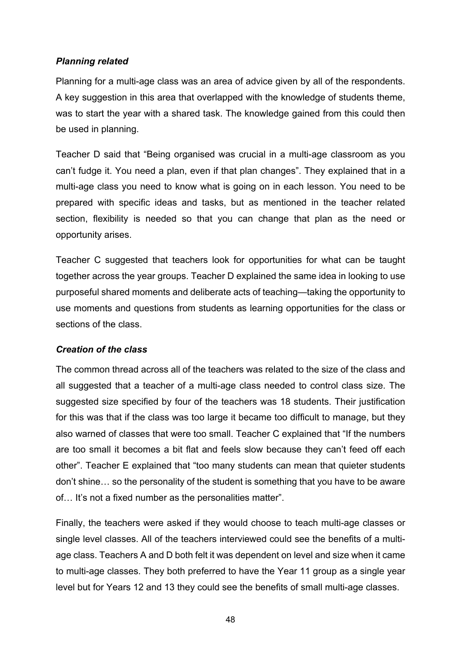## *Planning related*

Planning for a multi-age class was an area of advice given by all of the respondents. A key suggestion in this area that overlapped with the knowledge of students theme, was to start the year with a shared task. The knowledge gained from this could then be used in planning.

Teacher D said that "Being organised was crucial in a multi-age classroom as you can't fudge it. You need a plan, even if that plan changes". They explained that in a multi-age class you need to know what is going on in each lesson. You need to be prepared with specific ideas and tasks, but as mentioned in the teacher related section, flexibility is needed so that you can change that plan as the need or opportunity arises.

Teacher C suggested that teachers look for opportunities for what can be taught together across the year groups. Teacher D explained the same idea in looking to use purposeful shared moments and deliberate acts of teaching—taking the opportunity to use moments and questions from students as learning opportunities for the class or sections of the class.

# *Creation of the class*

The common thread across all of the teachers was related to the size of the class and all suggested that a teacher of a multi-age class needed to control class size. The suggested size specified by four of the teachers was 18 students. Their justification for this was that if the class was too large it became too difficult to manage, but they also warned of classes that were too small. Teacher C explained that "If the numbers are too small it becomes a bit flat and feels slow because they can't feed off each other". Teacher E explained that "too many students can mean that quieter students don't shine… so the personality of the student is something that you have to be aware of… It's not a fixed number as the personalities matter".

Finally, the teachers were asked if they would choose to teach multi-age classes or single level classes. All of the teachers interviewed could see the benefits of a multiage class. Teachers A and D both felt it was dependent on level and size when it came to multi-age classes. They both preferred to have the Year 11 group as a single year level but for Years 12 and 13 they could see the benefits of small multi-age classes.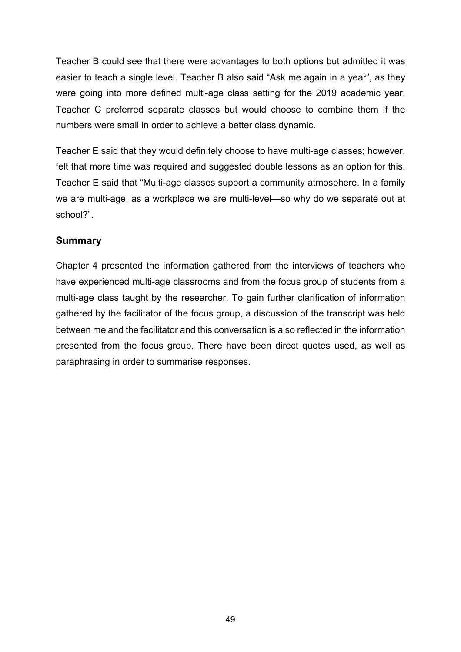Teacher B could see that there were advantages to both options but admitted it was easier to teach a single level. Teacher B also said "Ask me again in a year", as they were going into more defined multi-age class setting for the 2019 academic year. Teacher C preferred separate classes but would choose to combine them if the numbers were small in order to achieve a better class dynamic.

Teacher E said that they would definitely choose to have multi-age classes; however, felt that more time was required and suggested double lessons as an option for this. Teacher E said that "Multi-age classes support a community atmosphere. In a family we are multi-age, as a workplace we are multi-level—so why do we separate out at school?".

# **Summary**

Chapter 4 presented the information gathered from the interviews of teachers who have experienced multi-age classrooms and from the focus group of students from a multi-age class taught by the researcher. To gain further clarification of information gathered by the facilitator of the focus group, a discussion of the transcript was held between me and the facilitator and this conversation is also reflected in the information presented from the focus group. There have been direct quotes used, as well as paraphrasing in order to summarise responses.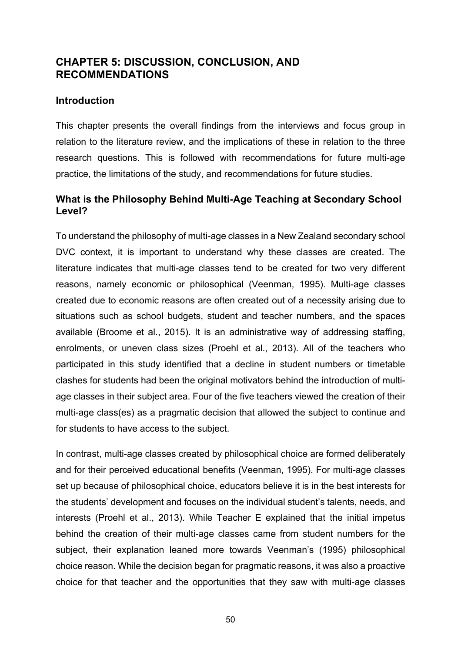# **CHAPTER 5: DISCUSSION, CONCLUSION, AND RECOMMENDATIONS**

## **Introduction**

This chapter presents the overall findings from the interviews and focus group in relation to the literature review, and the implications of these in relation to the three research questions. This is followed with recommendations for future multi-age practice, the limitations of the study, and recommendations for future studies.

# **What is the Philosophy Behind Multi-Age Teaching at Secondary School Level?**

To understand the philosophy of multi-age classes in a New Zealand secondary school DVC context, it is important to understand why these classes are created. The literature indicates that multi-age classes tend to be created for two very different reasons, namely economic or philosophical (Veenman, 1995). Multi-age classes created due to economic reasons are often created out of a necessity arising due to situations such as school budgets, student and teacher numbers, and the spaces available (Broome et al., 2015). It is an administrative way of addressing staffing, enrolments, or uneven class sizes (Proehl et al., 2013). All of the teachers who participated in this study identified that a decline in student numbers or timetable clashes for students had been the original motivators behind the introduction of multiage classes in their subject area. Four of the five teachers viewed the creation of their multi-age class(es) as a pragmatic decision that allowed the subject to continue and for students to have access to the subject.

In contrast, multi-age classes created by philosophical choice are formed deliberately and for their perceived educational benefits (Veenman, 1995). For multi-age classes set up because of philosophical choice, educators believe it is in the best interests for the students' development and focuses on the individual student's talents, needs, and interests (Proehl et al., 2013). While Teacher E explained that the initial impetus behind the creation of their multi-age classes came from student numbers for the subject, their explanation leaned more towards Veenman's (1995) philosophical choice reason. While the decision began for pragmatic reasons, it was also a proactive choice for that teacher and the opportunities that they saw with multi-age classes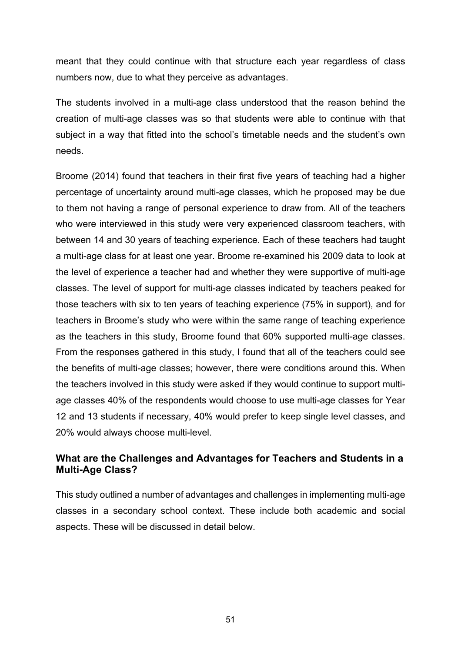meant that they could continue with that structure each year regardless of class numbers now, due to what they perceive as advantages.

The students involved in a multi-age class understood that the reason behind the creation of multi-age classes was so that students were able to continue with that subject in a way that fitted into the school's timetable needs and the student's own needs.

Broome (2014) found that teachers in their first five years of teaching had a higher percentage of uncertainty around multi-age classes, which he proposed may be due to them not having a range of personal experience to draw from. All of the teachers who were interviewed in this study were very experienced classroom teachers, with between 14 and 30 years of teaching experience. Each of these teachers had taught a multi-age class for at least one year. Broome re-examined his 2009 data to look at the level of experience a teacher had and whether they were supportive of multi-age classes. The level of support for multi-age classes indicated by teachers peaked for those teachers with six to ten years of teaching experience (75% in support), and for teachers in Broome's study who were within the same range of teaching experience as the teachers in this study, Broome found that 60% supported multi-age classes. From the responses gathered in this study, I found that all of the teachers could see the benefits of multi-age classes; however, there were conditions around this. When the teachers involved in this study were asked if they would continue to support multiage classes 40% of the respondents would choose to use multi-age classes for Year 12 and 13 students if necessary, 40% would prefer to keep single level classes, and 20% would always choose multi-level.

# **What are the Challenges and Advantages for Teachers and Students in a Multi-Age Class?**

This study outlined a number of advantages and challenges in implementing multi-age classes in a secondary school context. These include both academic and social aspects. These will be discussed in detail below.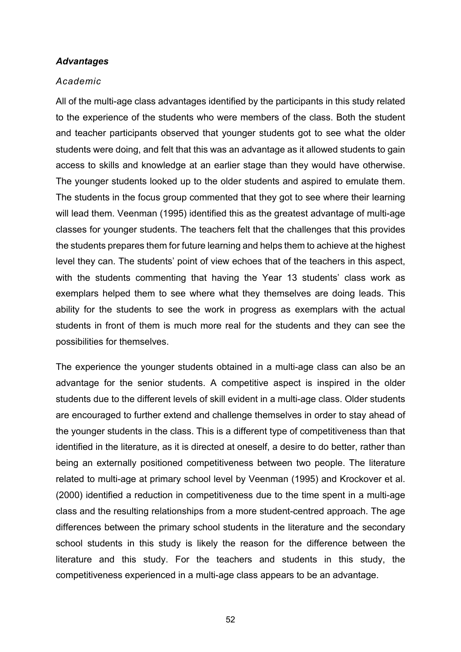#### *Advantages*

#### *Academic*

All of the multi-age class advantages identified by the participants in this study related to the experience of the students who were members of the class. Both the student and teacher participants observed that younger students got to see what the older students were doing, and felt that this was an advantage as it allowed students to gain access to skills and knowledge at an earlier stage than they would have otherwise. The younger students looked up to the older students and aspired to emulate them. The students in the focus group commented that they got to see where their learning will lead them. Veenman (1995) identified this as the greatest advantage of multi-age classes for younger students. The teachers felt that the challenges that this provides the students prepares them for future learning and helps them to achieve at the highest level they can. The students' point of view echoes that of the teachers in this aspect, with the students commenting that having the Year 13 students' class work as exemplars helped them to see where what they themselves are doing leads. This ability for the students to see the work in progress as exemplars with the actual students in front of them is much more real for the students and they can see the possibilities for themselves.

The experience the younger students obtained in a multi-age class can also be an advantage for the senior students. A competitive aspect is inspired in the older students due to the different levels of skill evident in a multi-age class. Older students are encouraged to further extend and challenge themselves in order to stay ahead of the younger students in the class. This is a different type of competitiveness than that identified in the literature, as it is directed at oneself, a desire to do better, rather than being an externally positioned competitiveness between two people. The literature related to multi-age at primary school level by Veenman (1995) and Krockover et al. (2000) identified a reduction in competitiveness due to the time spent in a multi-age class and the resulting relationships from a more student-centred approach. The age differences between the primary school students in the literature and the secondary school students in this study is likely the reason for the difference between the literature and this study. For the teachers and students in this study, the competitiveness experienced in a multi-age class appears to be an advantage.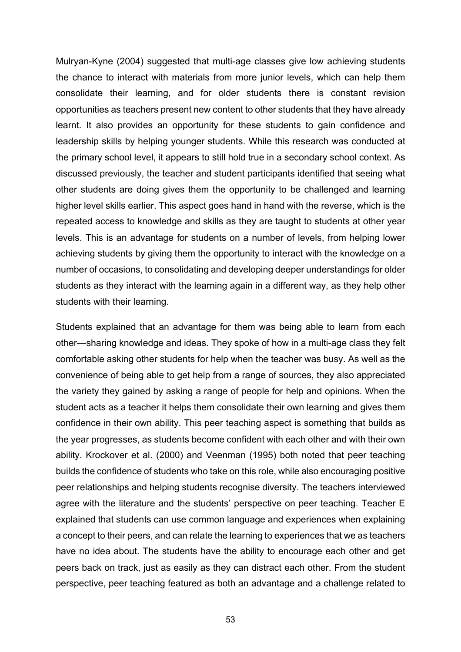Mulryan-Kyne (2004) suggested that multi-age classes give low achieving students the chance to interact with materials from more junior levels, which can help them consolidate their learning, and for older students there is constant revision opportunities as teachers present new content to other students that they have already learnt. It also provides an opportunity for these students to gain confidence and leadership skills by helping younger students. While this research was conducted at the primary school level, it appears to still hold true in a secondary school context. As discussed previously, the teacher and student participants identified that seeing what other students are doing gives them the opportunity to be challenged and learning higher level skills earlier. This aspect goes hand in hand with the reverse, which is the repeated access to knowledge and skills as they are taught to students at other year levels. This is an advantage for students on a number of levels, from helping lower achieving students by giving them the opportunity to interact with the knowledge on a number of occasions, to consolidating and developing deeper understandings for older students as they interact with the learning again in a different way, as they help other students with their learning.

Students explained that an advantage for them was being able to learn from each other—sharing knowledge and ideas. They spoke of how in a multi-age class they felt comfortable asking other students for help when the teacher was busy. As well as the convenience of being able to get help from a range of sources, they also appreciated the variety they gained by asking a range of people for help and opinions. When the student acts as a teacher it helps them consolidate their own learning and gives them confidence in their own ability. This peer teaching aspect is something that builds as the year progresses, as students become confident with each other and with their own ability. Krockover et al. (2000) and Veenman (1995) both noted that peer teaching builds the confidence of students who take on this role, while also encouraging positive peer relationships and helping students recognise diversity. The teachers interviewed agree with the literature and the students' perspective on peer teaching. Teacher E explained that students can use common language and experiences when explaining a concept to their peers, and can relate the learning to experiences that we as teachers have no idea about. The students have the ability to encourage each other and get peers back on track, just as easily as they can distract each other. From the student perspective, peer teaching featured as both an advantage and a challenge related to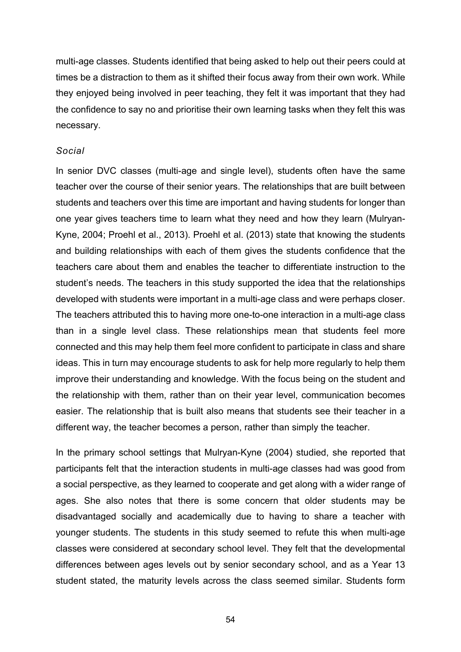multi-age classes. Students identified that being asked to help out their peers could at times be a distraction to them as it shifted their focus away from their own work. While they enjoyed being involved in peer teaching, they felt it was important that they had the confidence to say no and prioritise their own learning tasks when they felt this was necessary.

#### *Social*

In senior DVC classes (multi-age and single level), students often have the same teacher over the course of their senior years. The relationships that are built between students and teachers over this time are important and having students for longer than one year gives teachers time to learn what they need and how they learn (Mulryan-Kyne, 2004; Proehl et al., 2013). Proehl et al. (2013) state that knowing the students and building relationships with each of them gives the students confidence that the teachers care about them and enables the teacher to differentiate instruction to the student's needs. The teachers in this study supported the idea that the relationships developed with students were important in a multi-age class and were perhaps closer. The teachers attributed this to having more one-to-one interaction in a multi-age class than in a single level class. These relationships mean that students feel more connected and this may help them feel more confident to participate in class and share ideas. This in turn may encourage students to ask for help more regularly to help them improve their understanding and knowledge. With the focus being on the student and the relationship with them, rather than on their year level, communication becomes easier. The relationship that is built also means that students see their teacher in a different way, the teacher becomes a person, rather than simply the teacher.

In the primary school settings that Mulryan-Kyne (2004) studied, she reported that participants felt that the interaction students in multi-age classes had was good from a social perspective, as they learned to cooperate and get along with a wider range of ages. She also notes that there is some concern that older students may be disadvantaged socially and academically due to having to share a teacher with younger students. The students in this study seemed to refute this when multi-age classes were considered at secondary school level. They felt that the developmental differences between ages levels out by senior secondary school, and as a Year 13 student stated, the maturity levels across the class seemed similar. Students form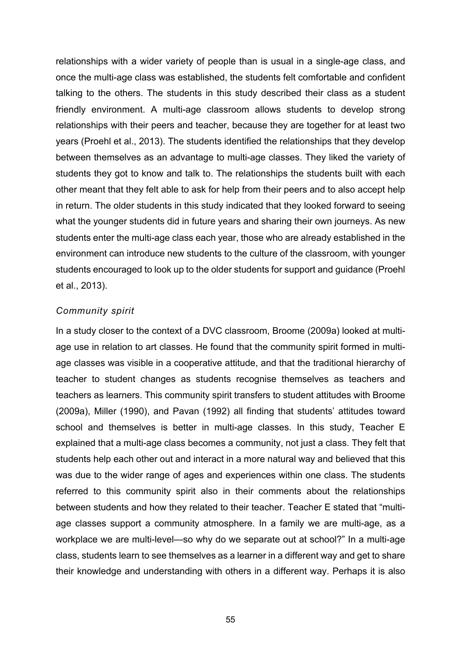relationships with a wider variety of people than is usual in a single-age class, and once the multi-age class was established, the students felt comfortable and confident talking to the others. The students in this study described their class as a student friendly environment. A multi-age classroom allows students to develop strong relationships with their peers and teacher, because they are together for at least two years (Proehl et al., 2013). The students identified the relationships that they develop between themselves as an advantage to multi-age classes. They liked the variety of students they got to know and talk to. The relationships the students built with each other meant that they felt able to ask for help from their peers and to also accept help in return. The older students in this study indicated that they looked forward to seeing what the younger students did in future years and sharing their own journeys. As new students enter the multi-age class each year, those who are already established in the environment can introduce new students to the culture of the classroom, with younger students encouraged to look up to the older students for support and guidance (Proehl et al., 2013).

#### *Community spirit*

In a study closer to the context of a DVC classroom, Broome (2009a) looked at multiage use in relation to art classes. He found that the community spirit formed in multiage classes was visible in a cooperative attitude, and that the traditional hierarchy of teacher to student changes as students recognise themselves as teachers and teachers as learners. This community spirit transfers to student attitudes with Broome (2009a), Miller (1990), and Pavan (1992) all finding that students' attitudes toward school and themselves is better in multi-age classes. In this study, Teacher E explained that a multi-age class becomes a community, not just a class. They felt that students help each other out and interact in a more natural way and believed that this was due to the wider range of ages and experiences within one class. The students referred to this community spirit also in their comments about the relationships between students and how they related to their teacher. Teacher E stated that "multiage classes support a community atmosphere. In a family we are multi-age, as a workplace we are multi-level—so why do we separate out at school?" In a multi-age class, students learn to see themselves as a learner in a different way and get to share their knowledge and understanding with others in a different way. Perhaps it is also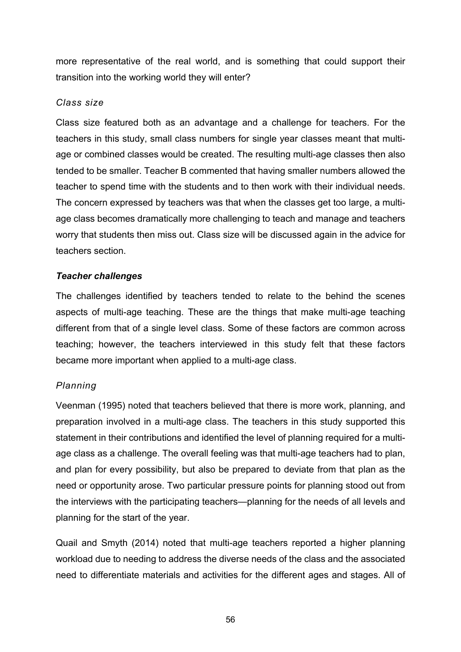more representative of the real world, and is something that could support their transition into the working world they will enter?

## *Class size*

Class size featured both as an advantage and a challenge for teachers. For the teachers in this study, small class numbers for single year classes meant that multiage or combined classes would be created. The resulting multi-age classes then also tended to be smaller. Teacher B commented that having smaller numbers allowed the teacher to spend time with the students and to then work with their individual needs. The concern expressed by teachers was that when the classes get too large, a multiage class becomes dramatically more challenging to teach and manage and teachers worry that students then miss out. Class size will be discussed again in the advice for teachers section.

## *Teacher challenges*

The challenges identified by teachers tended to relate to the behind the scenes aspects of multi-age teaching. These are the things that make multi-age teaching different from that of a single level class. Some of these factors are common across teaching; however, the teachers interviewed in this study felt that these factors became more important when applied to a multi-age class.

# *Planning*

Veenman (1995) noted that teachers believed that there is more work, planning, and preparation involved in a multi-age class. The teachers in this study supported this statement in their contributions and identified the level of planning required for a multiage class as a challenge. The overall feeling was that multi-age teachers had to plan, and plan for every possibility, but also be prepared to deviate from that plan as the need or opportunity arose. Two particular pressure points for planning stood out from the interviews with the participating teachers—planning for the needs of all levels and planning for the start of the year.

Quail and Smyth (2014) noted that multi-age teachers reported a higher planning workload due to needing to address the diverse needs of the class and the associated need to differentiate materials and activities for the different ages and stages. All of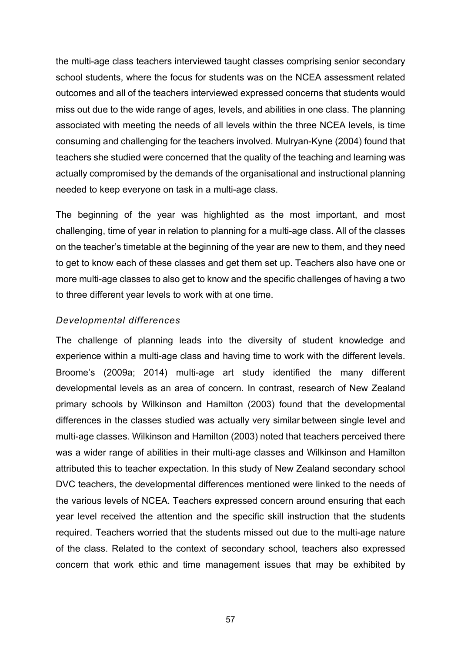the multi-age class teachers interviewed taught classes comprising senior secondary school students, where the focus for students was on the NCEA assessment related outcomes and all of the teachers interviewed expressed concerns that students would miss out due to the wide range of ages, levels, and abilities in one class. The planning associated with meeting the needs of all levels within the three NCEA levels, is time consuming and challenging for the teachers involved. Mulryan-Kyne (2004) found that teachers she studied were concerned that the quality of the teaching and learning was actually compromised by the demands of the organisational and instructional planning needed to keep everyone on task in a multi-age class.

The beginning of the year was highlighted as the most important, and most challenging, time of year in relation to planning for a multi-age class. All of the classes on the teacher's timetable at the beginning of the year are new to them, and they need to get to know each of these classes and get them set up. Teachers also have one or more multi-age classes to also get to know and the specific challenges of having a two to three different year levels to work with at one time.

### *Developmental differences*

The challenge of planning leads into the diversity of student knowledge and experience within a multi-age class and having time to work with the different levels. Broome's (2009a; 2014) multi-age art study identified the many different developmental levels as an area of concern. In contrast, research of New Zealand primary schools by Wilkinson and Hamilton (2003) found that the developmental differences in the classes studied was actually very similar between single level and multi-age classes. Wilkinson and Hamilton (2003) noted that teachers perceived there was a wider range of abilities in their multi-age classes and Wilkinson and Hamilton attributed this to teacher expectation. In this study of New Zealand secondary school DVC teachers, the developmental differences mentioned were linked to the needs of the various levels of NCEA. Teachers expressed concern around ensuring that each year level received the attention and the specific skill instruction that the students required. Teachers worried that the students missed out due to the multi-age nature of the class. Related to the context of secondary school, teachers also expressed concern that work ethic and time management issues that may be exhibited by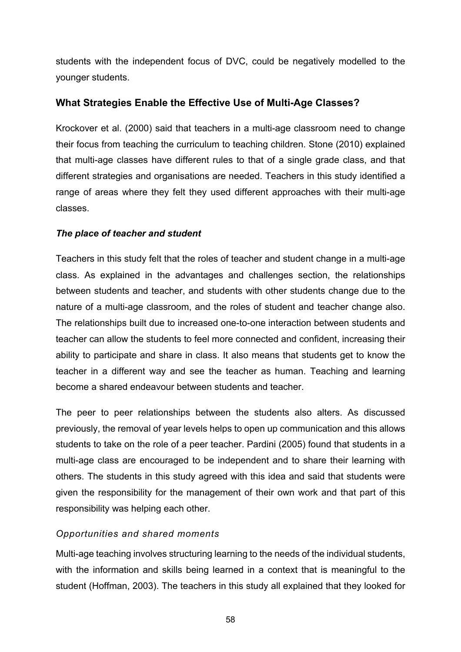students with the independent focus of DVC, could be negatively modelled to the younger students.

# **What Strategies Enable the Effective Use of Multi-Age Classes?**

Krockover et al. (2000) said that teachers in a multi-age classroom need to change their focus from teaching the curriculum to teaching children. Stone (2010) explained that multi-age classes have different rules to that of a single grade class, and that different strategies and organisations are needed. Teachers in this study identified a range of areas where they felt they used different approaches with their multi-age classes.

# *The place of teacher and student*

Teachers in this study felt that the roles of teacher and student change in a multi-age class. As explained in the advantages and challenges section, the relationships between students and teacher, and students with other students change due to the nature of a multi-age classroom, and the roles of student and teacher change also. The relationships built due to increased one-to-one interaction between students and teacher can allow the students to feel more connected and confident, increasing their ability to participate and share in class. It also means that students get to know the teacher in a different way and see the teacher as human. Teaching and learning become a shared endeavour between students and teacher.

The peer to peer relationships between the students also alters. As discussed previously, the removal of year levels helps to open up communication and this allows students to take on the role of a peer teacher. Pardini (2005) found that students in a multi-age class are encouraged to be independent and to share their learning with others. The students in this study agreed with this idea and said that students were given the responsibility for the management of their own work and that part of this responsibility was helping each other.

# *Opportunities and shared moments*

Multi-age teaching involves structuring learning to the needs of the individual students, with the information and skills being learned in a context that is meaningful to the student (Hoffman, 2003). The teachers in this study all explained that they looked for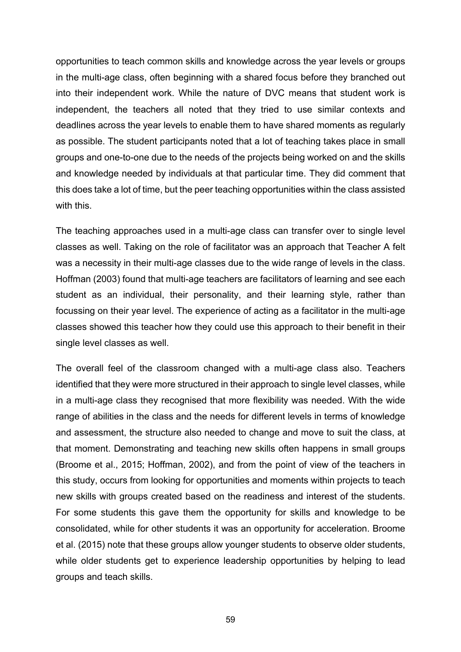opportunities to teach common skills and knowledge across the year levels or groups in the multi-age class, often beginning with a shared focus before they branched out into their independent work. While the nature of DVC means that student work is independent, the teachers all noted that they tried to use similar contexts and deadlines across the year levels to enable them to have shared moments as regularly as possible. The student participants noted that a lot of teaching takes place in small groups and one-to-one due to the needs of the projects being worked on and the skills and knowledge needed by individuals at that particular time. They did comment that this does take a lot of time, but the peer teaching opportunities within the class assisted with this.

The teaching approaches used in a multi-age class can transfer over to single level classes as well. Taking on the role of facilitator was an approach that Teacher A felt was a necessity in their multi-age classes due to the wide range of levels in the class. Hoffman (2003) found that multi-age teachers are facilitators of learning and see each student as an individual, their personality, and their learning style, rather than focussing on their year level. The experience of acting as a facilitator in the multi-age classes showed this teacher how they could use this approach to their benefit in their single level classes as well.

The overall feel of the classroom changed with a multi-age class also. Teachers identified that they were more structured in their approach to single level classes, while in a multi-age class they recognised that more flexibility was needed. With the wide range of abilities in the class and the needs for different levels in terms of knowledge and assessment, the structure also needed to change and move to suit the class, at that moment. Demonstrating and teaching new skills often happens in small groups (Broome et al., 2015; Hoffman, 2002), and from the point of view of the teachers in this study, occurs from looking for opportunities and moments within projects to teach new skills with groups created based on the readiness and interest of the students. For some students this gave them the opportunity for skills and knowledge to be consolidated, while for other students it was an opportunity for acceleration. Broome et al. (2015) note that these groups allow younger students to observe older students, while older students get to experience leadership opportunities by helping to lead groups and teach skills.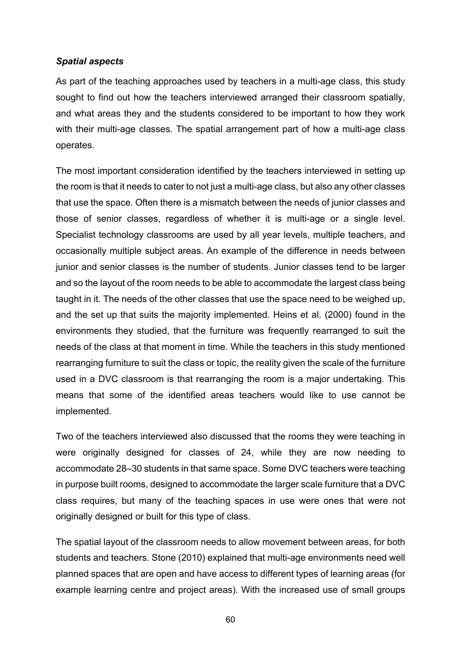#### *Spatial aspects*

As part of the teaching approaches used by teachers in a multi-age class, this study sought to find out how the teachers interviewed arranged their classroom spatially, and what areas they and the students considered to be important to how they work with their multi-age classes. The spatial arrangement part of how a multi-age class operates.

The most important consideration identified by the teachers interviewed in setting up the room is that it needs to cater to not just a multi-age class, but also any other classes that use the space. Often there is a mismatch between the needs of junior classes and those of senior classes, regardless of whether it is multi-age or a single level. Specialist technology classrooms are used by all year levels, multiple teachers, and occasionally multiple subject areas. An example of the difference in needs between junior and senior classes is the number of students. Junior classes tend to be larger and so the layout of the room needs to be able to accommodate the largest class being taught in it. The needs of the other classes that use the space need to be weighed up, and the set up that suits the majority implemented. Heins et al. (2000) found in the environments they studied, that the furniture was frequently rearranged to suit the needs of the class at that moment in time. While the teachers in this study mentioned rearranging furniture to suit the class or topic, the reality given the scale of the furniture used in a DVC classroom is that rearranging the room is a major undertaking. This means that some of the identified areas teachers would like to use cannot be implemented.

Two of the teachers interviewed also discussed that the rooms they were teaching in were originally designed for classes of 24, while they are now needing to accommodate 28–30 students in that same space. Some DVC teachers were teaching in purpose built rooms, designed to accommodate the larger scale furniture that a DVC class requires, but many of the teaching spaces in use were ones that were not originally designed or built for this type of class.

The spatial layout of the classroom needs to allow movement between areas, for both students and teachers. Stone (2010) explained that multi-age environments need well planned spaces that are open and have access to different types of learning areas (for example learning centre and project areas). With the increased use of small groups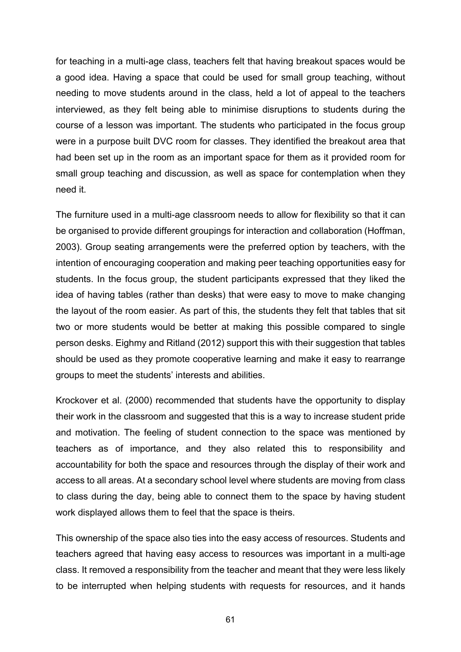for teaching in a multi-age class, teachers felt that having breakout spaces would be a good idea. Having a space that could be used for small group teaching, without needing to move students around in the class, held a lot of appeal to the teachers interviewed, as they felt being able to minimise disruptions to students during the course of a lesson was important. The students who participated in the focus group were in a purpose built DVC room for classes. They identified the breakout area that had been set up in the room as an important space for them as it provided room for small group teaching and discussion, as well as space for contemplation when they need it.

The furniture used in a multi-age classroom needs to allow for flexibility so that it can be organised to provide different groupings for interaction and collaboration (Hoffman, 2003). Group seating arrangements were the preferred option by teachers, with the intention of encouraging cooperation and making peer teaching opportunities easy for students. In the focus group, the student participants expressed that they liked the idea of having tables (rather than desks) that were easy to move to make changing the layout of the room easier. As part of this, the students they felt that tables that sit two or more students would be better at making this possible compared to single person desks. Eighmy and Ritland (2012) support this with their suggestion that tables should be used as they promote cooperative learning and make it easy to rearrange groups to meet the students' interests and abilities.

Krockover et al. (2000) recommended that students have the opportunity to display their work in the classroom and suggested that this is a way to increase student pride and motivation. The feeling of student connection to the space was mentioned by teachers as of importance, and they also related this to responsibility and accountability for both the space and resources through the display of their work and access to all areas. At a secondary school level where students are moving from class to class during the day, being able to connect them to the space by having student work displayed allows them to feel that the space is theirs.

This ownership of the space also ties into the easy access of resources. Students and teachers agreed that having easy access to resources was important in a multi-age class. It removed a responsibility from the teacher and meant that they were less likely to be interrupted when helping students with requests for resources, and it hands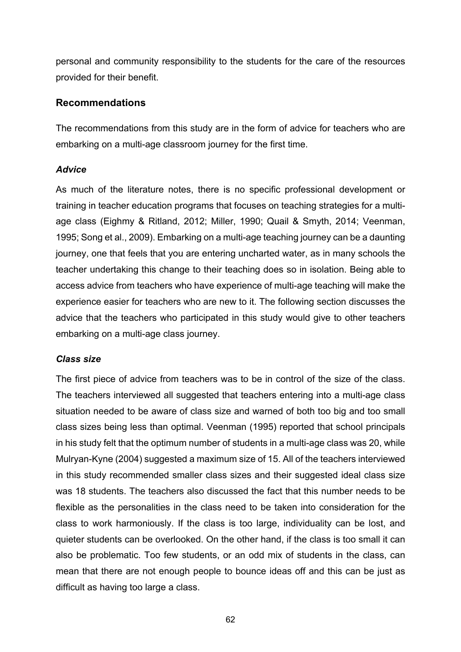personal and community responsibility to the students for the care of the resources provided for their benefit.

## **Recommendations**

The recommendations from this study are in the form of advice for teachers who are embarking on a multi-age classroom journey for the first time.

### *Advice*

As much of the literature notes, there is no specific professional development or training in teacher education programs that focuses on teaching strategies for a multiage class (Eighmy & Ritland, 2012; Miller, 1990; Quail & Smyth, 2014; Veenman, 1995; Song et al., 2009). Embarking on a multi-age teaching journey can be a daunting journey, one that feels that you are entering uncharted water, as in many schools the teacher undertaking this change to their teaching does so in isolation. Being able to access advice from teachers who have experience of multi-age teaching will make the experience easier for teachers who are new to it. The following section discusses the advice that the teachers who participated in this study would give to other teachers embarking on a multi-age class journey.

# *Class size*

The first piece of advice from teachers was to be in control of the size of the class. The teachers interviewed all suggested that teachers entering into a multi-age class situation needed to be aware of class size and warned of both too big and too small class sizes being less than optimal. Veenman (1995) reported that school principals in his study felt that the optimum number of students in a multi-age class was 20, while Mulryan-Kyne (2004) suggested a maximum size of 15. All of the teachers interviewed in this study recommended smaller class sizes and their suggested ideal class size was 18 students. The teachers also discussed the fact that this number needs to be flexible as the personalities in the class need to be taken into consideration for the class to work harmoniously. If the class is too large, individuality can be lost, and quieter students can be overlooked. On the other hand, if the class is too small it can also be problematic. Too few students, or an odd mix of students in the class, can mean that there are not enough people to bounce ideas off and this can be just as difficult as having too large a class.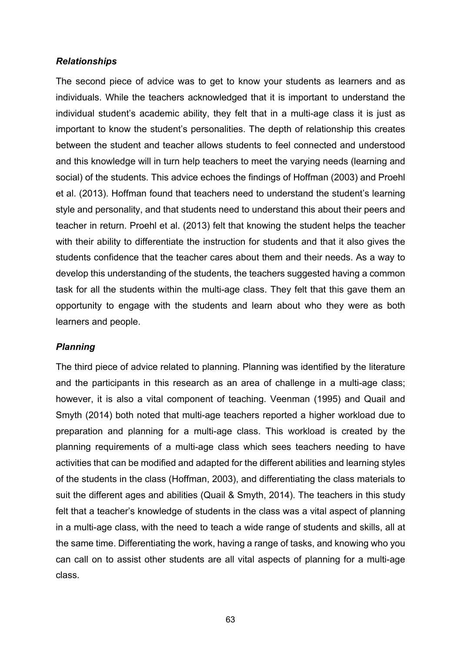#### *Relationships*

The second piece of advice was to get to know your students as learners and as individuals. While the teachers acknowledged that it is important to understand the individual student's academic ability, they felt that in a multi-age class it is just as important to know the student's personalities. The depth of relationship this creates between the student and teacher allows students to feel connected and understood and this knowledge will in turn help teachers to meet the varying needs (learning and social) of the students. This advice echoes the findings of Hoffman (2003) and Proehl et al. (2013). Hoffman found that teachers need to understand the student's learning style and personality, and that students need to understand this about their peers and teacher in return. Proehl et al. (2013) felt that knowing the student helps the teacher with their ability to differentiate the instruction for students and that it also gives the students confidence that the teacher cares about them and their needs. As a way to develop this understanding of the students, the teachers suggested having a common task for all the students within the multi-age class. They felt that this gave them an opportunity to engage with the students and learn about who they were as both learners and people.

### *Planning*

The third piece of advice related to planning. Planning was identified by the literature and the participants in this research as an area of challenge in a multi-age class; however, it is also a vital component of teaching. Veenman (1995) and Quail and Smyth (2014) both noted that multi-age teachers reported a higher workload due to preparation and planning for a multi-age class. This workload is created by the planning requirements of a multi-age class which sees teachers needing to have activities that can be modified and adapted for the different abilities and learning styles of the students in the class (Hoffman, 2003), and differentiating the class materials to suit the different ages and abilities (Quail & Smyth, 2014). The teachers in this study felt that a teacher's knowledge of students in the class was a vital aspect of planning in a multi-age class, with the need to teach a wide range of students and skills, all at the same time. Differentiating the work, having a range of tasks, and knowing who you can call on to assist other students are all vital aspects of planning for a multi-age class.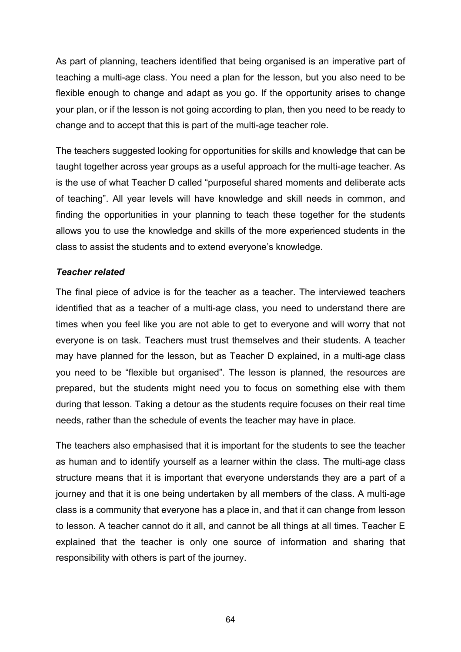As part of planning, teachers identified that being organised is an imperative part of teaching a multi-age class. You need a plan for the lesson, but you also need to be flexible enough to change and adapt as you go. If the opportunity arises to change your plan, or if the lesson is not going according to plan, then you need to be ready to change and to accept that this is part of the multi-age teacher role.

The teachers suggested looking for opportunities for skills and knowledge that can be taught together across year groups as a useful approach for the multi-age teacher. As is the use of what Teacher D called "purposeful shared moments and deliberate acts of teaching". All year levels will have knowledge and skill needs in common, and finding the opportunities in your planning to teach these together for the students allows you to use the knowledge and skills of the more experienced students in the class to assist the students and to extend everyone's knowledge.

# *Teacher related*

The final piece of advice is for the teacher as a teacher. The interviewed teachers identified that as a teacher of a multi-age class, you need to understand there are times when you feel like you are not able to get to everyone and will worry that not everyone is on task. Teachers must trust themselves and their students. A teacher may have planned for the lesson, but as Teacher D explained, in a multi-age class you need to be "flexible but organised". The lesson is planned, the resources are prepared, but the students might need you to focus on something else with them during that lesson. Taking a detour as the students require focuses on their real time needs, rather than the schedule of events the teacher may have in place.

The teachers also emphasised that it is important for the students to see the teacher as human and to identify yourself as a learner within the class. The multi-age class structure means that it is important that everyone understands they are a part of a journey and that it is one being undertaken by all members of the class. A multi-age class is a community that everyone has a place in, and that it can change from lesson to lesson. A teacher cannot do it all, and cannot be all things at all times. Teacher E explained that the teacher is only one source of information and sharing that responsibility with others is part of the journey.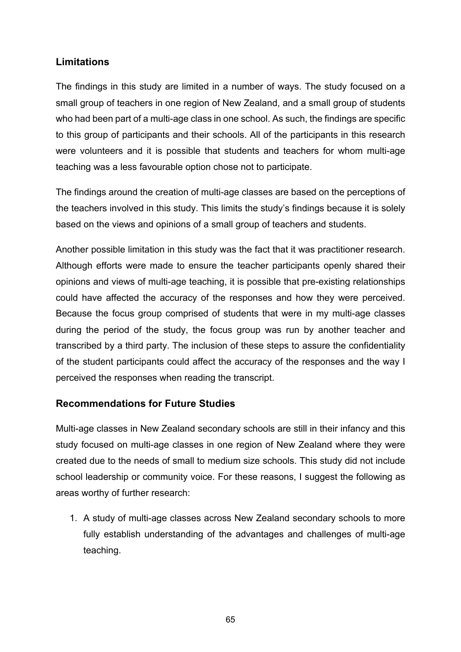# **Limitations**

The findings in this study are limited in a number of ways. The study focused on a small group of teachers in one region of New Zealand, and a small group of students who had been part of a multi-age class in one school. As such, the findings are specific to this group of participants and their schools. All of the participants in this research were volunteers and it is possible that students and teachers for whom multi-age teaching was a less favourable option chose not to participate.

The findings around the creation of multi-age classes are based on the perceptions of the teachers involved in this study. This limits the study's findings because it is solely based on the views and opinions of a small group of teachers and students.

Another possible limitation in this study was the fact that it was practitioner research. Although efforts were made to ensure the teacher participants openly shared their opinions and views of multi-age teaching, it is possible that pre-existing relationships could have affected the accuracy of the responses and how they were perceived. Because the focus group comprised of students that were in my multi-age classes during the period of the study, the focus group was run by another teacher and transcribed by a third party. The inclusion of these steps to assure the confidentiality of the student participants could affect the accuracy of the responses and the way I perceived the responses when reading the transcript.

# **Recommendations for Future Studies**

Multi-age classes in New Zealand secondary schools are still in their infancy and this study focused on multi-age classes in one region of New Zealand where they were created due to the needs of small to medium size schools. This study did not include school leadership or community voice. For these reasons, I suggest the following as areas worthy of further research:

1. A study of multi-age classes across New Zealand secondary schools to more fully establish understanding of the advantages and challenges of multi-age teaching.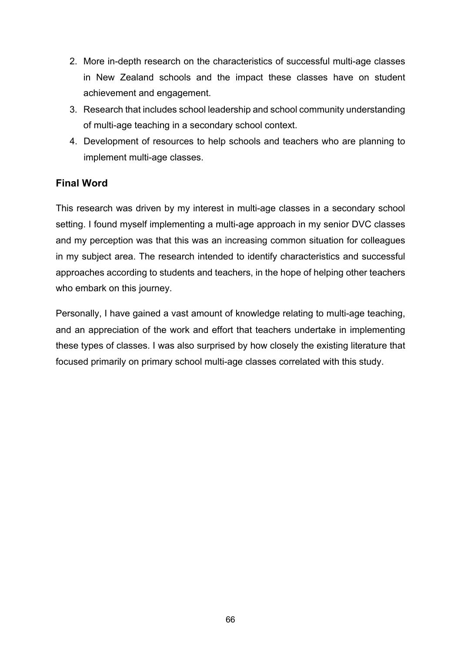- 2. More in-depth research on the characteristics of successful multi-age classes in New Zealand schools and the impact these classes have on student achievement and engagement.
- 3. Research that includes school leadership and school community understanding of multi-age teaching in a secondary school context.
- 4. Development of resources to help schools and teachers who are planning to implement multi-age classes.

# **Final Word**

This research was driven by my interest in multi-age classes in a secondary school setting. I found myself implementing a multi-age approach in my senior DVC classes and my perception was that this was an increasing common situation for colleagues in my subject area. The research intended to identify characteristics and successful approaches according to students and teachers, in the hope of helping other teachers who embark on this journey.

Personally, I have gained a vast amount of knowledge relating to multi-age teaching, and an appreciation of the work and effort that teachers undertake in implementing these types of classes. I was also surprised by how closely the existing literature that focused primarily on primary school multi-age classes correlated with this study.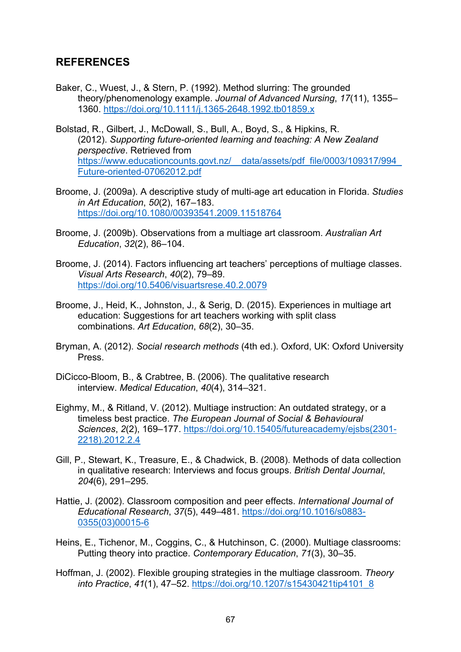# **REFERENCES**

- Baker, C., Wuest, J., & Stern, P. (1992). Method slurring: The grounded theory/phenomenology example. *Journal of Advanced Nursing*, *17*(11), 1355– 1360. https://doi.org/10.1111/j.1365-2648.1992.tb01859.x
- Bolstad, R., Gilbert, J., McDowall, S., Bull, A., Boyd, S., & Hipkins, R. (2012). *Supporting future-oriented learning and teaching: A New Zealand perspective*. Retrieved from https://www.educationcounts.govt.nz/ data/assets/pdf\_file/0003/109317/994 Future-oriented-07062012.pdf
- Broome, J. (2009a). A descriptive study of multi-age art education in Florida. *Studies in Art Education*, *50*(2), 167–183. https://doi.org/10.1080/00393541.2009.11518764
- Broome, J. (2009b). Observations from a multiage art classroom. *Australian Art Education*, *32*(2), 86–104.
- Broome, J. (2014). Factors influencing art teachers' perceptions of multiage classes. *Visual Arts Research*, *40*(2), 79–89. https://doi.org/10.5406/visuartsrese.40.2.0079
- Broome, J., Heid, K., Johnston, J., & Serig, D. (2015). Experiences in multiage art education: Suggestions for art teachers working with split class combinations. *Art Education*, *68*(2), 30–35.
- Bryman, A. (2012). *Social research methods* (4th ed.). Oxford, UK: Oxford University Press.
- DiCicco-Bloom, B., & Crabtree, B. (2006). The qualitative research interview. *Medical Education*, *40*(4), 314–321.
- Eighmy, M., & Ritland, V. (2012). Multiage instruction: An outdated strategy, or a timeless best practice. *The European Journal of Social & Behavioural Sciences*, *2*(2), 169–177. https://doi.org/10.15405/futureacademy/ejsbs(2301- 2218).2012.2.4
- Gill, P., Stewart, K., Treasure, E., & Chadwick, B. (2008). Methods of data collection in qualitative research: Interviews and focus groups. *British Dental Journal*, *204*(6), 291–295.
- Hattie, J. (2002). Classroom composition and peer effects. *International Journal of Educational Research*, *37*(5), 449–481. https://doi.org/10.1016/s0883- 0355(03)00015-6
- Heins, E., Tichenor, M., Coggins, C., & Hutchinson, C. (2000). Multiage classrooms: Putting theory into practice. *Contemporary Education*, *71*(3), 30–35.
- Hoffman, J. (2002). Flexible grouping strategies in the multiage classroom. *Theory into Practice*, *41*(1), 47–52. https://doi.org/10.1207/s15430421tip4101\_8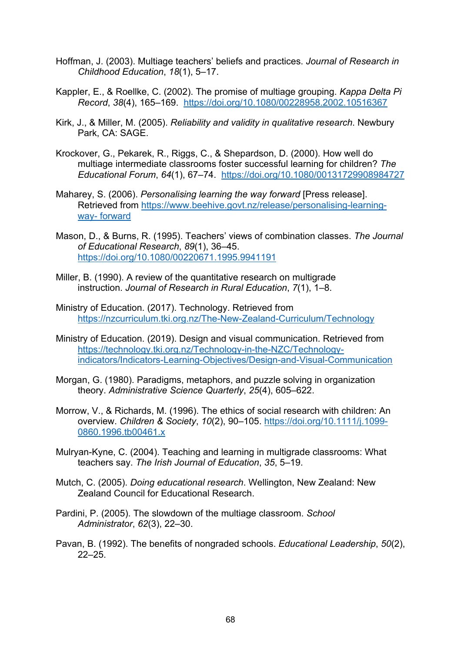- Hoffman, J. (2003). Multiage teachers' beliefs and practices. *Journal of Research in Childhood Education*, *18*(1), 5–17.
- Kappler, E., & Roellke, C. (2002). The promise of multiage grouping. *Kappa Delta Pi Record*, *38*(4), 165–169. https://doi.org/10.1080/00228958.2002.10516367
- Kirk, J., & Miller, M. (2005). *Reliability and validity in qualitative research*. Newbury Park, CA: SAGE.
- Krockover, G., Pekarek, R., Riggs, C., & Shepardson, D. (2000). How well do multiage intermediate classrooms foster successful learning for children? *The Educational Forum*, *64*(1), 67–74. https://doi.org/10.1080/00131729908984727
- Maharey, S. (2006). *Personalising learning the way forward* [Press release]. Retrieved from https://www.beehive.govt.nz/release/personalising-learningway- forward
- Mason, D., & Burns, R. (1995). Teachers' views of combination classes. *The Journal of Educational Research*, *89*(1), 36–45. https://doi.org/10.1080/00220671.1995.9941191
- Miller, B. (1990). A review of the quantitative research on multigrade instruction. *Journal of Research in Rural Education*, *7*(1), 1–8.
- Ministry of Education. (2017). Technology. Retrieved from https://nzcurriculum.tki.org.nz/The-New-Zealand-Curriculum/Technology
- Ministry of Education. (2019). Design and visual communication. Retrieved from https://technology.tki.org.nz/Technology-in-the-NZC/Technologyindicators/Indicators-Learning-Objectives/Design-and-Visual-Communication
- Morgan, G. (1980). Paradigms, metaphors, and puzzle solving in organization theory. *Administrative Science Quarterly*, *25*(4), 605–622.
- Morrow, V., & Richards, M. (1996). The ethics of social research with children: An overview. *Children & Society*, *10*(2), 90–105. https://doi.org/10.1111/j.1099- 0860.1996.tb00461.x
- Mulryan-Kyne, C. (2004). Teaching and learning in multigrade classrooms: What teachers say. *The Irish Journal of Education*, *35*, 5–19.
- Mutch, C. (2005). *Doing educational research*. Wellington, New Zealand: New Zealand Council for Educational Research.
- Pardini, P. (2005). The slowdown of the multiage classroom. *School Administrator*, *62*(3), 22–30.
- Pavan, B. (1992). The benefits of nongraded schools. *Educational Leadership*, *50*(2), 22–25.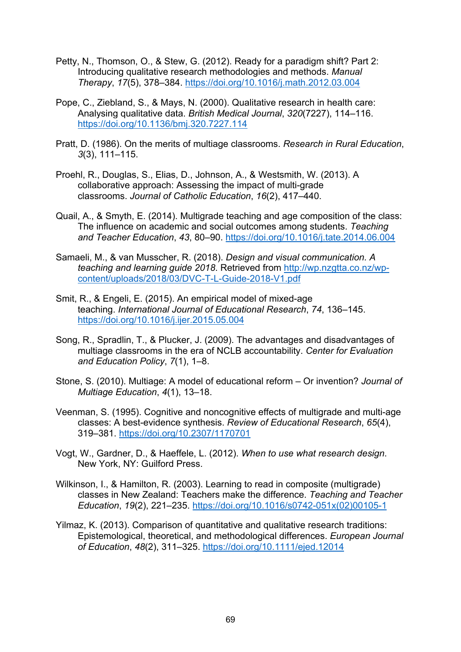- Petty, N., Thomson, O., & Stew, G. (2012). Ready for a paradigm shift? Part 2: Introducing qualitative research methodologies and methods. *Manual Therapy*, *17*(5), 378–384. https://doi.org/10.1016/j.math.2012.03.004
- Pope, C., Ziebland, S., & Mays, N. (2000). Qualitative research in health care: Analysing qualitative data. *British Medical Journal*, *320*(7227), 114–116. https://doi.org/10.1136/bmj.320.7227.114
- Pratt, D. (1986). On the merits of multiage classrooms. *Research in Rural Education*, *3*(3), 111–115.
- Proehl, R., Douglas, S., Elias, D., Johnson, A., & Westsmith, W. (2013). A collaborative approach: Assessing the impact of multi-grade classrooms. *Journal of Catholic Education*, *16*(2), 417–440.
- Quail, A., & Smyth, E. (2014). Multigrade teaching and age composition of the class: The influence on academic and social outcomes among students. *Teaching and Teacher Education*, *43*, 80–90. https://doi.org/10.1016/j.tate.2014.06.004
- Samaeli, M., & van Musscher, R. (2018). *Design and visual communication. A teaching and learning guide 2018*. Retrieved from http://wp.nzgtta.co.nz/wpcontent/uploads/2018/03/DVC-T-L-Guide-2018-V1.pdf
- Smit, R., & Engeli, E. (2015). An empirical model of mixed-age teaching. *International Journal of Educational Research*, *74*, 136–145. https://doi.org/10.1016/j.ijer.2015.05.004
- Song, R., Spradlin, T., & Plucker, J. (2009). The advantages and disadvantages of multiage classrooms in the era of NCLB accountability. *Center for Evaluation and Education Policy*, *7*(1), 1–8.
- Stone, S. (2010). Multiage: A model of educational reform Or invention? *Journal of Multiage Education*, *4*(1), 13–18.
- Veenman, S. (1995). Cognitive and noncognitive effects of multigrade and multi-age classes: A best-evidence synthesis. *Review of Educational Research*, *65*(4), 319–381. https://doi.org/10.2307/1170701
- Vogt, W., Gardner, D., & Haeffele, L. (2012). *When to use what research design*. New York, NY: Guilford Press.
- Wilkinson, I., & Hamilton, R. (2003). Learning to read in composite (multigrade) classes in New Zealand: Teachers make the difference. *Teaching and Teacher Education*, *19*(2), 221–235. https://doi.org/10.1016/s0742-051x(02)00105-1
- Yilmaz, K. (2013). Comparison of quantitative and qualitative research traditions: Epistemological, theoretical, and methodological differences. *European Journal of Education*, *48*(2), 311–325. https://doi.org/10.1111/ejed.12014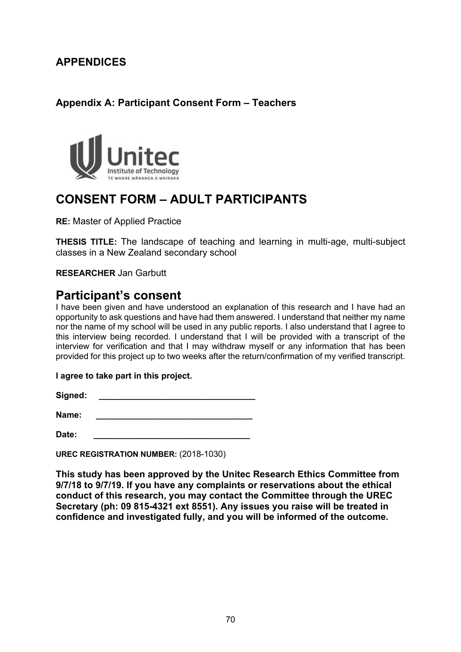# **APPENDICES**

## **Appendix A: Participant Consent Form – Teachers**



# **CONSENT FORM – ADULT PARTICIPANTS**

**RE:** Master of Applied Practice

**THESIS TITLE:** The landscape of teaching and learning in multi-age, multi-subject classes in a New Zealand secondary school

### **RESEARCHER** Jan Garbutt

## **Participant's consent**

I have been given and have understood an explanation of this research and I have had an opportunity to ask questions and have had them answered. I understand that neither my name nor the name of my school will be used in any public reports. I also understand that I agree to this interview being recorded. I understand that I will be provided with a transcript of the interview for verification and that I may withdraw myself or any information that has been provided for this project up to two weeks after the return/confirmation of my verified transcript.

### **I agree to take part in this project.**

 $S$ ianed:

**Name: \_\_\_\_\_\_\_\_\_\_\_\_\_\_\_\_\_\_\_\_\_\_\_\_\_\_\_\_\_\_\_\_\_**

**Date: \_\_\_\_\_\_\_\_\_\_\_\_\_\_\_\_\_\_\_\_\_\_\_\_\_\_\_\_\_\_\_\_\_**

**UREC REGISTRATION NUMBER:** (2018-1030)

**This study has been approved by the Unitec Research Ethics Committee from 9/7/18 to 9/7/19. If you have any complaints or reservations about the ethical conduct of this research, you may contact the Committee through the UREC Secretary (ph: 09 815-4321 ext 8551). Any issues you raise will be treated in confidence and investigated fully, and you will be informed of the outcome.**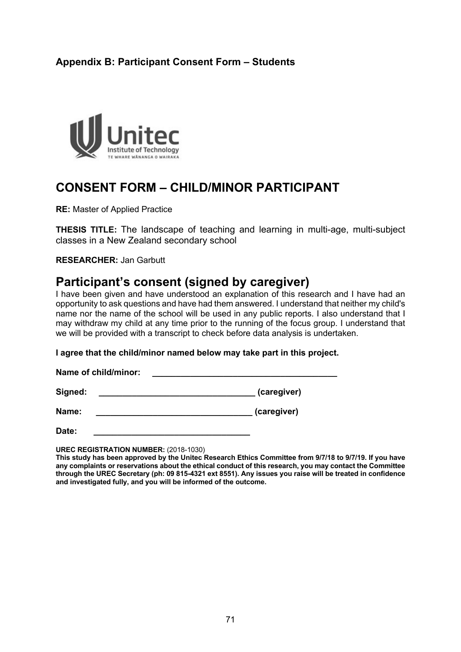## **Appendix B: Participant Consent Form – Students**



# **CONSENT FORM – CHILD/MINOR PARTICIPANT**

**RE:** Master of Applied Practice

**THESIS TITLE:** The landscape of teaching and learning in multi-age, multi-subject classes in a New Zealand secondary school

**RESEARCHER:** Jan Garbutt

# **Participant's consent (signed by caregiver)**

I have been given and have understood an explanation of this research and I have had an opportunity to ask questions and have had them answered. I understand that neither my child's name nor the name of the school will be used in any public reports. I also understand that I may withdraw my child at any time prior to the running of the focus group. I understand that we will be provided with a transcript to check before data analysis is undertaken.

**I agree that the child/minor named below may take part in this project.**

Name of child/minor:

**Signed: \_\_\_\_\_\_\_\_\_\_\_\_\_\_\_\_\_\_\_\_\_\_\_\_\_\_\_\_\_\_\_\_\_ (caregiver)**

**Name:** (Caregiver)

**Date: \_\_\_\_\_\_\_\_\_\_\_\_\_\_\_\_\_\_\_\_\_\_\_\_\_\_\_\_\_\_\_\_\_**

**UREC REGISTRATION NUMBER:** (2018-1030)

**This study has been approved by the Unitec Research Ethics Committee from 9/7/18 to 9/7/19. If you have any complaints or reservations about the ethical conduct of this research, you may contact the Committee through the UREC Secretary (ph: 09 815-4321 ext 8551). Any issues you raise will be treated in confidence and investigated fully, and you will be informed of the outcome.**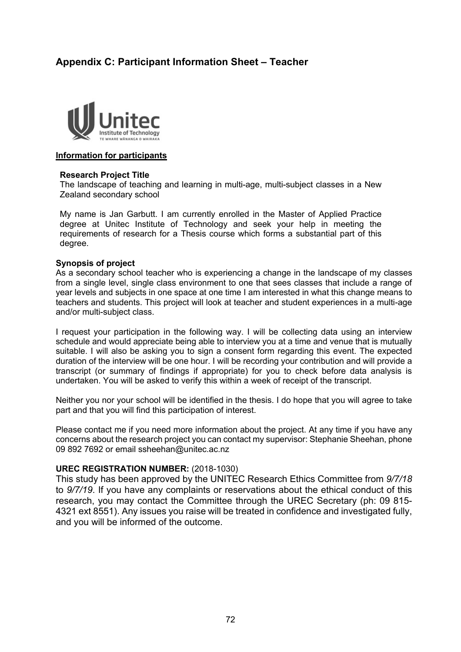## **Appendix C: Participant Information Sheet – Teacher**



#### **Information for participants**

#### **Research Project Title**

The landscape of teaching and learning in multi-age, multi-subject classes in a New Zealand secondary school

My name is Jan Garbutt. I am currently enrolled in the Master of Applied Practice degree at Unitec Institute of Technology and seek your help in meeting the requirements of research for a Thesis course which forms a substantial part of this degree.

#### **Synopsis of project**

As a secondary school teacher who is experiencing a change in the landscape of my classes from a single level, single class environment to one that sees classes that include a range of year levels and subjects in one space at one time I am interested in what this change means to teachers and students. This project will look at teacher and student experiences in a multi-age and/or multi-subject class.

I request your participation in the following way. I will be collecting data using an interview schedule and would appreciate being able to interview you at a time and venue that is mutually suitable. I will also be asking you to sign a consent form regarding this event. The expected duration of the interview will be one hour. I will be recording your contribution and will provide a transcript (or summary of findings if appropriate) for you to check before data analysis is undertaken. You will be asked to verify this within a week of receipt of the transcript.

Neither you nor your school will be identified in the thesis. I do hope that you will agree to take part and that you will find this participation of interest.

Please contact me if you need more information about the project. At any time if you have any concerns about the research project you can contact my supervisor: Stephanie Sheehan, phone 09 892 7692 or email ssheehan@unitec.ac.nz

#### **UREC REGISTRATION NUMBER:** (2018-1030)

This study has been approved by the UNITEC Research Ethics Committee from *9/7/18* to *9/7/19*. If you have any complaints or reservations about the ethical conduct of this research, you may contact the Committee through the UREC Secretary (ph: 09 815- 4321 ext 8551). Any issues you raise will be treated in confidence and investigated fully, and you will be informed of the outcome.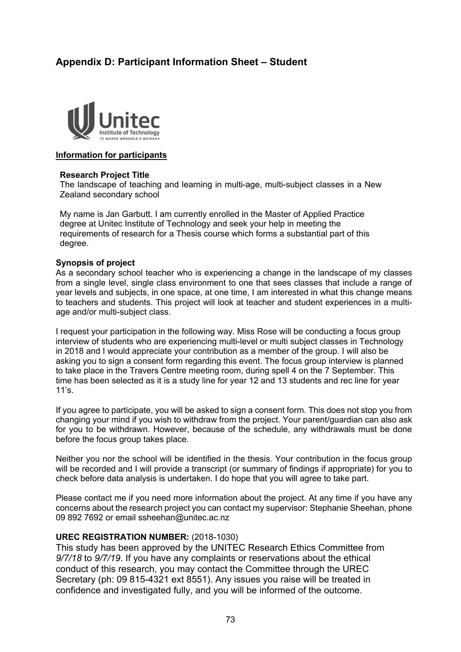## **Appendix D: Participant Information Sheet – Student**



#### **Information for participants**

#### **Research Project Title**

The landscape of teaching and learning in multi-age, multi-subject classes in a New Zealand secondary school

My name is Jan Garbutt. I am currently enrolled in the Master of Applied Practice degree at Unitec Institute of Technology and seek your help in meeting the requirements of research for a Thesis course which forms a substantial part of this degree.

#### **Synopsis of project**

As a secondary school teacher who is experiencing a change in the landscape of my classes from a single level, single class environment to one that sees classes that include a range of year levels and subjects, in one space, at one time, I am interested in what this change means to teachers and students. This project will look at teacher and student experiences in a multiage and/or multi-subject class.

I request your participation in the following way. Miss Rose will be conducting a focus group interview of students who are experiencing multi-level or multi subject classes in Technology in 2018 and I would appreciate your contribution as a member of the group. I will also be asking you to sign a consent form regarding this event. The focus group interview is planned to take place in the Travers Centre meeting room, during spell 4 on the 7 September. This time has been selected as it is a study line for year 12 and 13 students and rec line for year  $11's$ .

If you agree to participate, you will be asked to sign a consent form. This does not stop you from changing your mind if you wish to withdraw from the project. Your parent/guardian can also ask for you to be withdrawn. However, because of the schedule, any withdrawals must be done before the focus group takes place.

Neither you nor the school will be identified in the thesis. Your contribution in the focus group will be recorded and I will provide a transcript (or summary of findings if appropriate) for you to check before data analysis is undertaken. I do hope that you will agree to take part.

Please contact me if you need more information about the project. At any time if you have any concerns about the research project you can contact my supervisor: Stephanie Sheehan, phone 09 892 7692 or email ssheehan@unitec.ac.nz

### **UREC REGISTRATION NUMBER:** (2018-1030)

This study has been approved by the UNITEC Research Ethics Committee from *9/7/18* to *9/7/19*. If you have any complaints or reservations about the ethical conduct of this research, you may contact the Committee through the UREC Secretary (ph: 09 815-4321 ext 8551). Any issues you raise will be treated in confidence and investigated fully, and you will be informed of the outcome.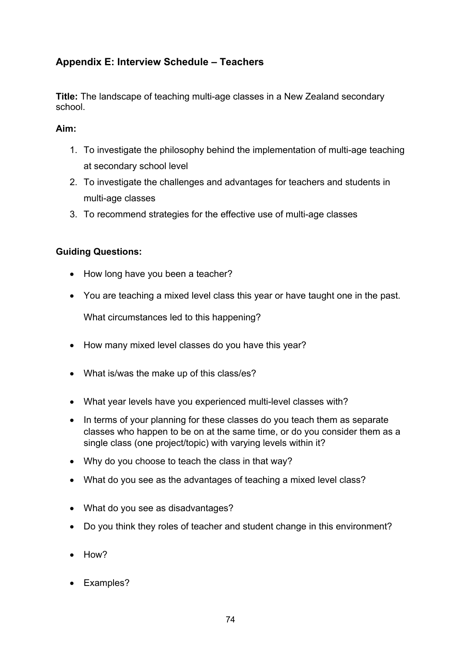## **Appendix E: Interview Schedule – Teachers**

**Title:** The landscape of teaching multi-age classes in a New Zealand secondary school.

### **Aim:**

- 1. To investigate the philosophy behind the implementation of multi-age teaching at secondary school level
- 2. To investigate the challenges and advantages for teachers and students in multi-age classes
- 3. To recommend strategies for the effective use of multi-age classes

### **Guiding Questions:**

- How long have you been a teacher?
- You are teaching a mixed level class this year or have taught one in the past.

What circumstances led to this happening?

- How many mixed level classes do you have this year?
- What is/was the make up of this class/es?
- What year levels have you experienced multi-level classes with?
- In terms of your planning for these classes do you teach them as separate classes who happen to be on at the same time, or do you consider them as a single class (one project/topic) with varying levels within it?
- Why do you choose to teach the class in that way?
- What do you see as the advantages of teaching a mixed level class?
- What do you see as disadvantages?
- Do you think they roles of teacher and student change in this environment?
- How?
- Examples?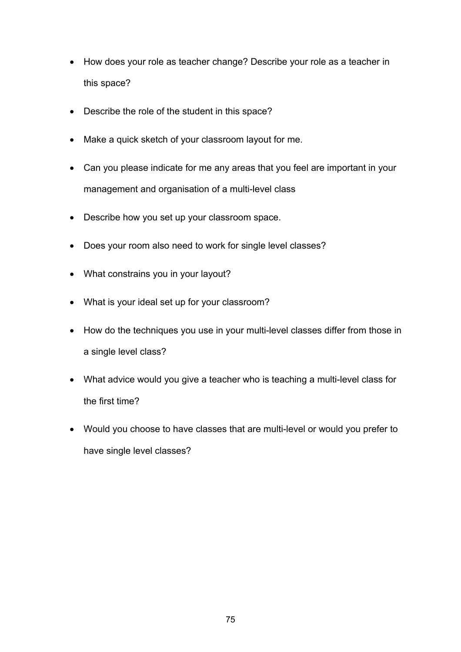- How does your role as teacher change? Describe your role as a teacher in this space?
- Describe the role of the student in this space?
- Make a quick sketch of your classroom layout for me.
- Can you please indicate for me any areas that you feel are important in your management and organisation of a multi-level class
- Describe how you set up your classroom space.
- Does your room also need to work for single level classes?
- What constrains you in your layout?
- What is your ideal set up for your classroom?
- How do the techniques you use in your multi-level classes differ from those in a single level class?
- What advice would you give a teacher who is teaching a multi-level class for the first time?
- Would you choose to have classes that are multi-level or would you prefer to have single level classes?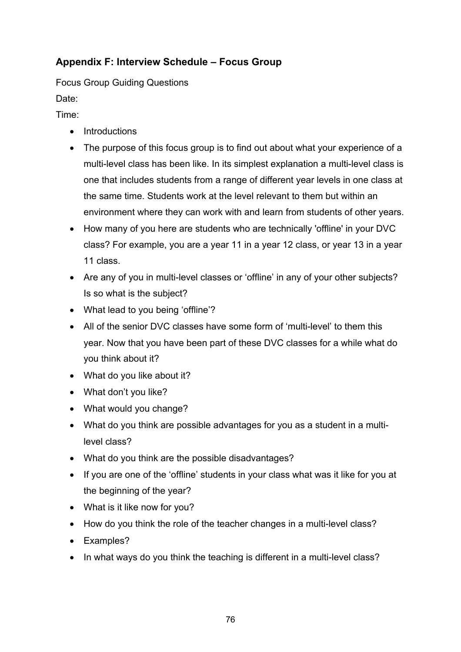## **Appendix F: Interview Schedule – Focus Group**

Focus Group Guiding Questions

Date:

Time:

- Introductions
- The purpose of this focus group is to find out about what your experience of a multi-level class has been like. In its simplest explanation a multi-level class is one that includes students from a range of different year levels in one class at the same time. Students work at the level relevant to them but within an environment where they can work with and learn from students of other years.
- How many of you here are students who are technically 'offline' in your DVC class? For example, you are a year 11 in a year 12 class, or year 13 in a year 11 class.
- Are any of you in multi-level classes or 'offline' in any of your other subjects? Is so what is the subject?
- What lead to you being 'offline'?
- All of the senior DVC classes have some form of 'multi-level' to them this year. Now that you have been part of these DVC classes for a while what do you think about it?
- What do you like about it?
- What don't you like?
- What would you change?
- What do you think are possible advantages for you as a student in a multilevel class?
- What do you think are the possible disadvantages?
- If you are one of the 'offline' students in your class what was it like for you at the beginning of the year?
- What is it like now for you?
- How do you think the role of the teacher changes in a multi-level class?
- Examples?
- In what ways do you think the teaching is different in a multi-level class?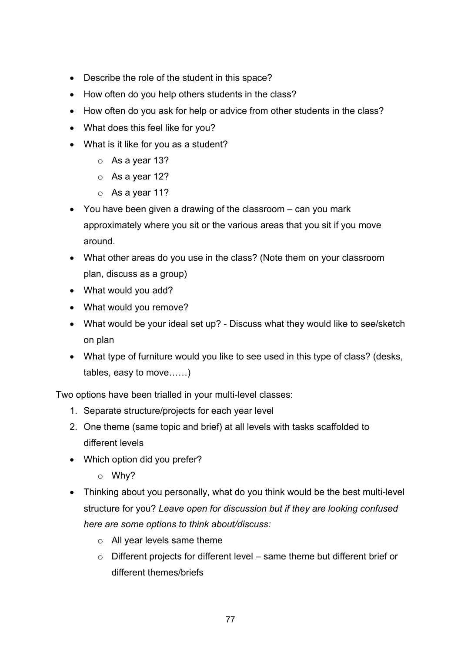- Describe the role of the student in this space?
- How often do you help others students in the class?
- How often do you ask for help or advice from other students in the class?
- What does this feel like for you?
- What is it like for you as a student?
	- o As a year 13?
	- o As a year 12?
	- o As a year 11?
- You have been given a drawing of the classroom can you mark approximately where you sit or the various areas that you sit if you move around.
- What other areas do you use in the class? (Note them on your classroom plan, discuss as a group)
- What would you add?
- What would you remove?
- What would be your ideal set up? Discuss what they would like to see/sketch on plan
- What type of furniture would you like to see used in this type of class? (desks, tables, easy to move……)

Two options have been trialled in your multi-level classes:

- 1. Separate structure/projects for each year level
- 2. One theme (same topic and brief) at all levels with tasks scaffolded to different levels
- Which option did you prefer?
	- o Why?
- Thinking about you personally, what do you think would be the best multi-level structure for you? *Leave open for discussion but if they are looking confused here are some options to think about/discuss:*
	- o All year levels same theme
	- o Different projects for different level same theme but different brief or different themes/briefs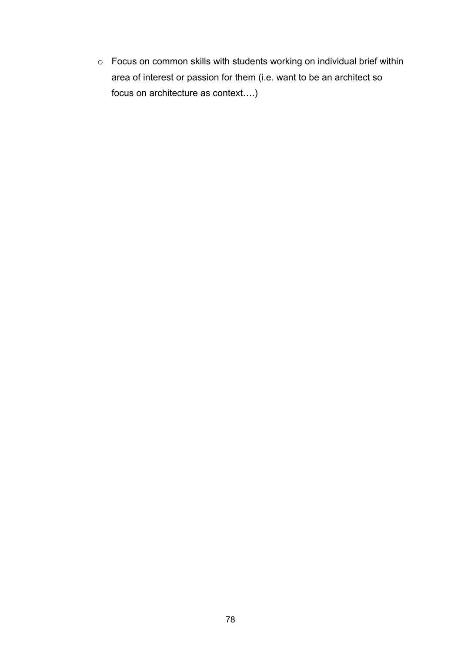o Focus on common skills with students working on individual brief within area of interest or passion for them (i.e. want to be an architect so focus on architecture as context….)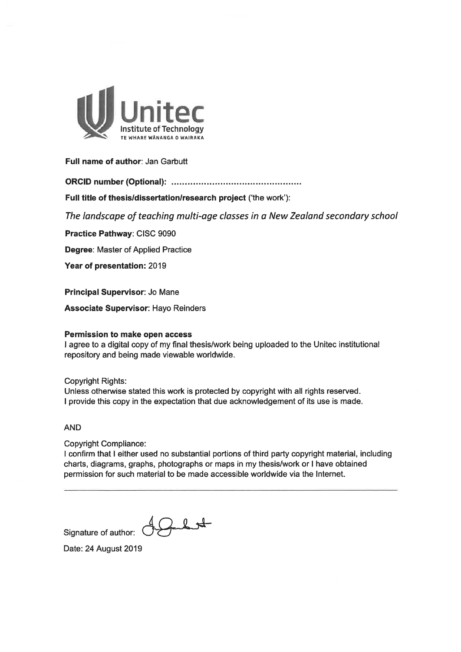

#### Full name of author: Jan Garbutt

Full title of thesis/dissertation/research project ('the work'):

The landscape of teaching multi-age classes in a New Zealand secondary school

Practice Pathway: CISC 9090

Degree: Master of Applied Practice

Year of presentation: 2019

Principal Supervisor: Jo Mane

**Associate Supervisor: Hayo Reinders** 

#### Permission to make open access

I agree to a digital copy of my final thesis/work being uploaded to the Unitec institutional repository and being made viewable worldwide.

**Copyright Rights:** Unless otherwise stated this work is protected by copyright with all rights reserved. I provide this copy in the expectation that due acknowledgement of its use is made.

#### **AND**

**Copyright Compliance:** 

I confirm that I either used no substantial portions of third party copyright material, including charts, diagrams, graphs, photographs or maps in my thesis/work or I have obtained permission for such material to be made accessible worldwide via the Internet.

Signature of author:

 $22 +$ 

Date: 24 August 2019